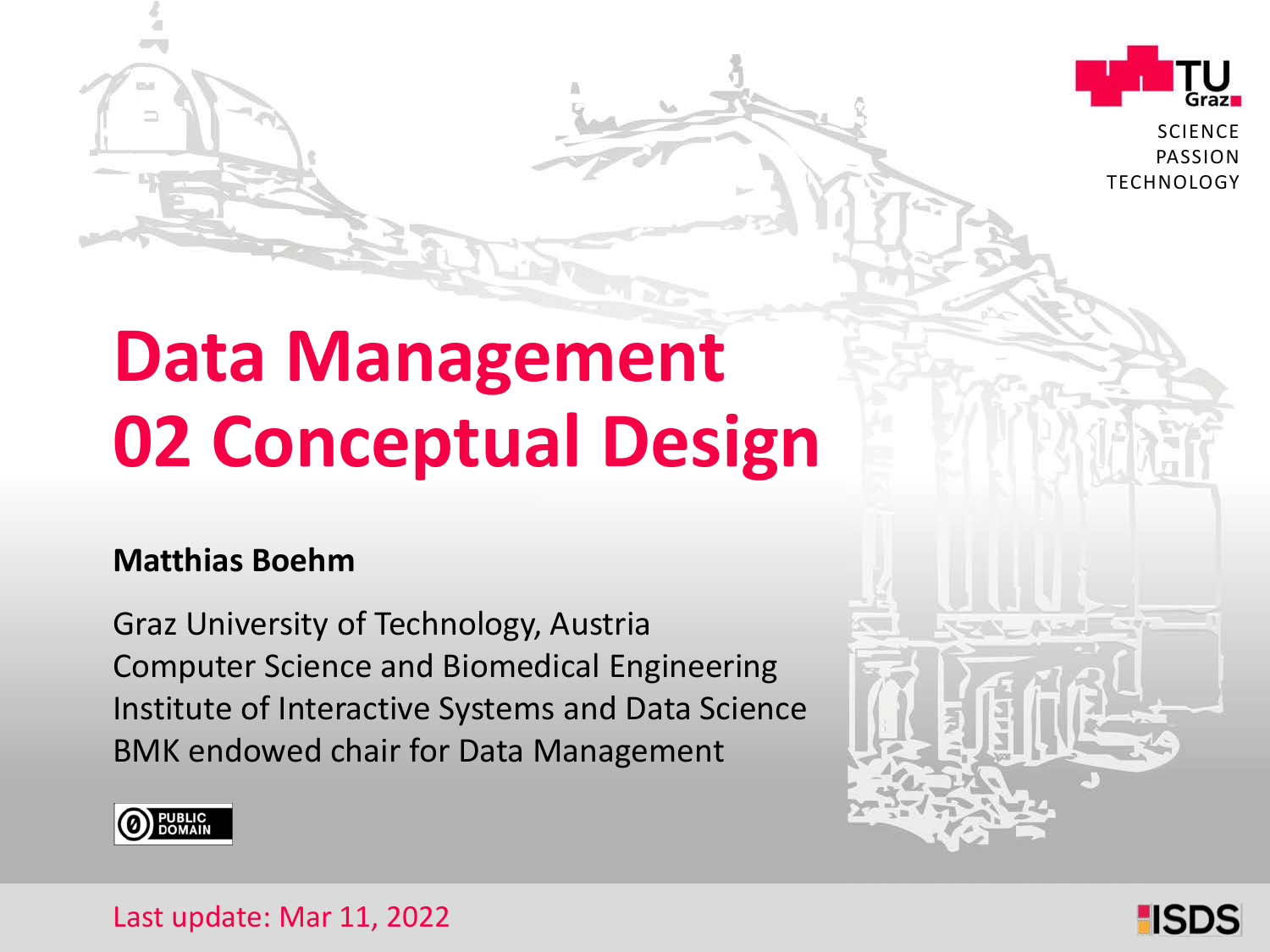

**SCIENCE** PASSION **TECHNOLOGY** 

# **Data Management 02 Conceptual Design**

#### **Matthias Boehm**

Graz University of Technology, Austria Institute of Interactive Systems and Data Science Computer Science and Biomedical Engineering BMK endowed chair for Data Management



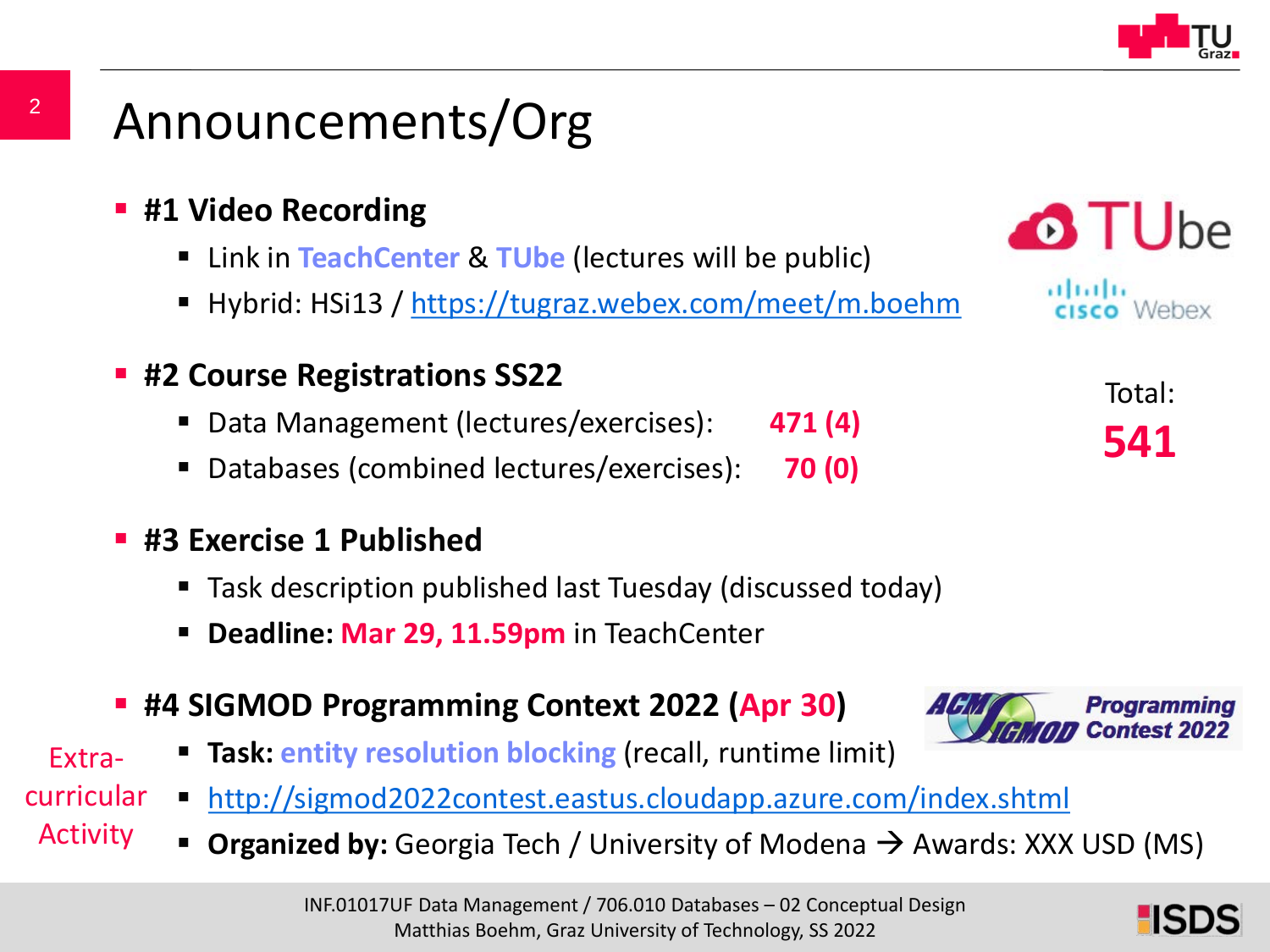

### Announcements/Org

- **#1 Video Recording** 
	- Link in **TeachCenter** & **TUbe** (lectures will be public)
	- Hybrid: HSi13 / <https://tugraz.webex.com/meet/m.boehm>
- **#2 Course Registrations SS22**
	- Data Management (lectures/exercises): **471 (4)**
	- Databases (combined lectures/exercises): **70 (0)**

#### **#3 Exercise 1 Published**

- Task description published last Tuesday (discussed today)
- **Deadline: Mar 29, 11.59pm** in TeachCenter
- **#4 SIGMOD Programming Context 2022 (Apr 30)**
	- **Task: entity resolution blocking** (recall, runtime limit)
- <http://sigmod2022contest.eastus.cloudapp.azure.com/index.shtml> curricular
	- **Organized by:** Georgia Tech / University of Modena  $\rightarrow$  Awards: XXX USD (MS)



Total: **541**



Extra-

Activity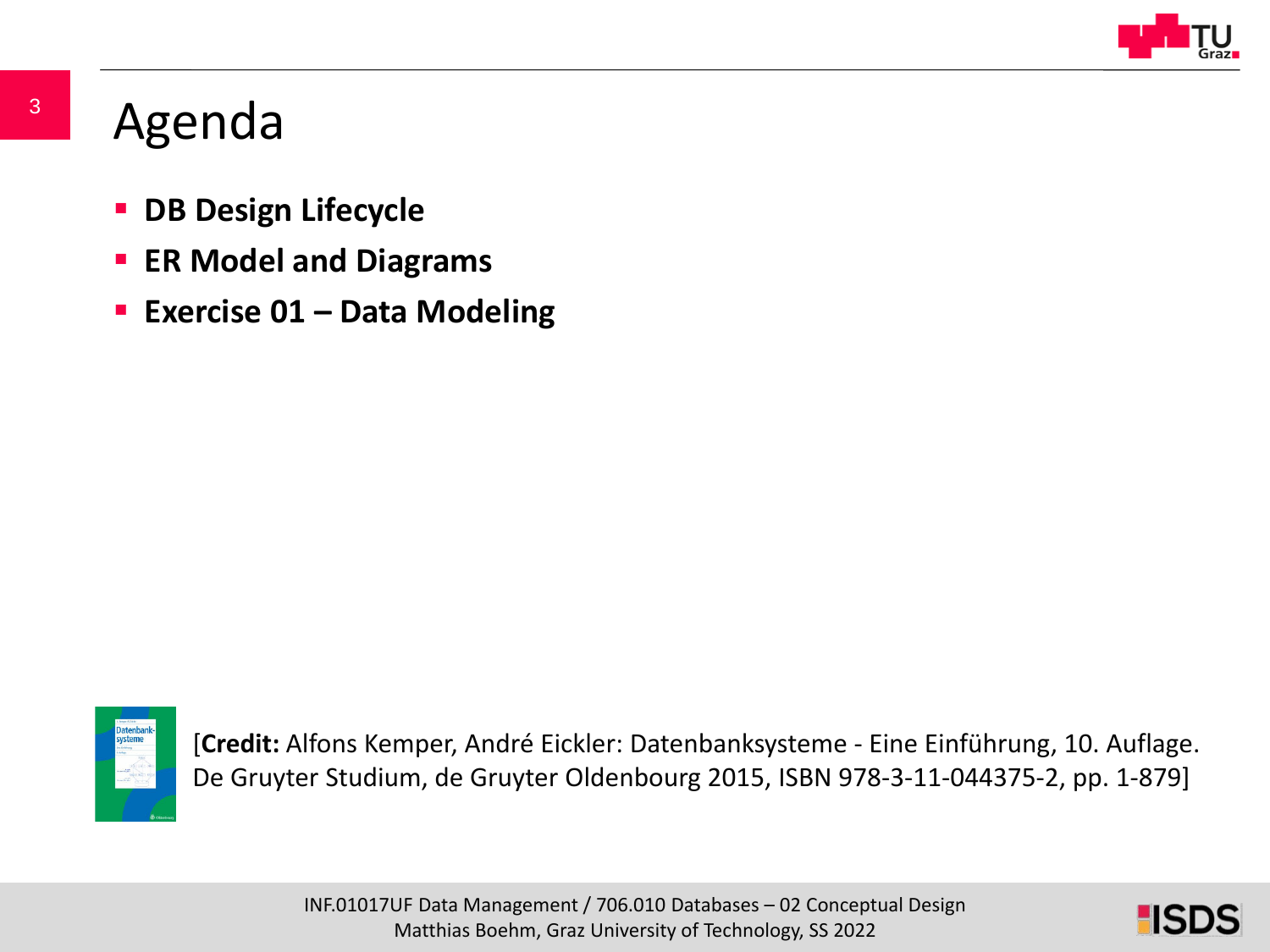

### Agenda

- **DB Design Lifecycle**
- **ER Model and Diagrams**
- **Exercise 01 – Data Modeling**



[**Credit:** Alfons Kemper, André Eickler: Datenbanksysteme - Eine Einführung, 10. Auflage. De Gruyter Studium, de Gruyter Oldenbourg 2015, ISBN 978-3-11-044375-2, pp. 1-879]

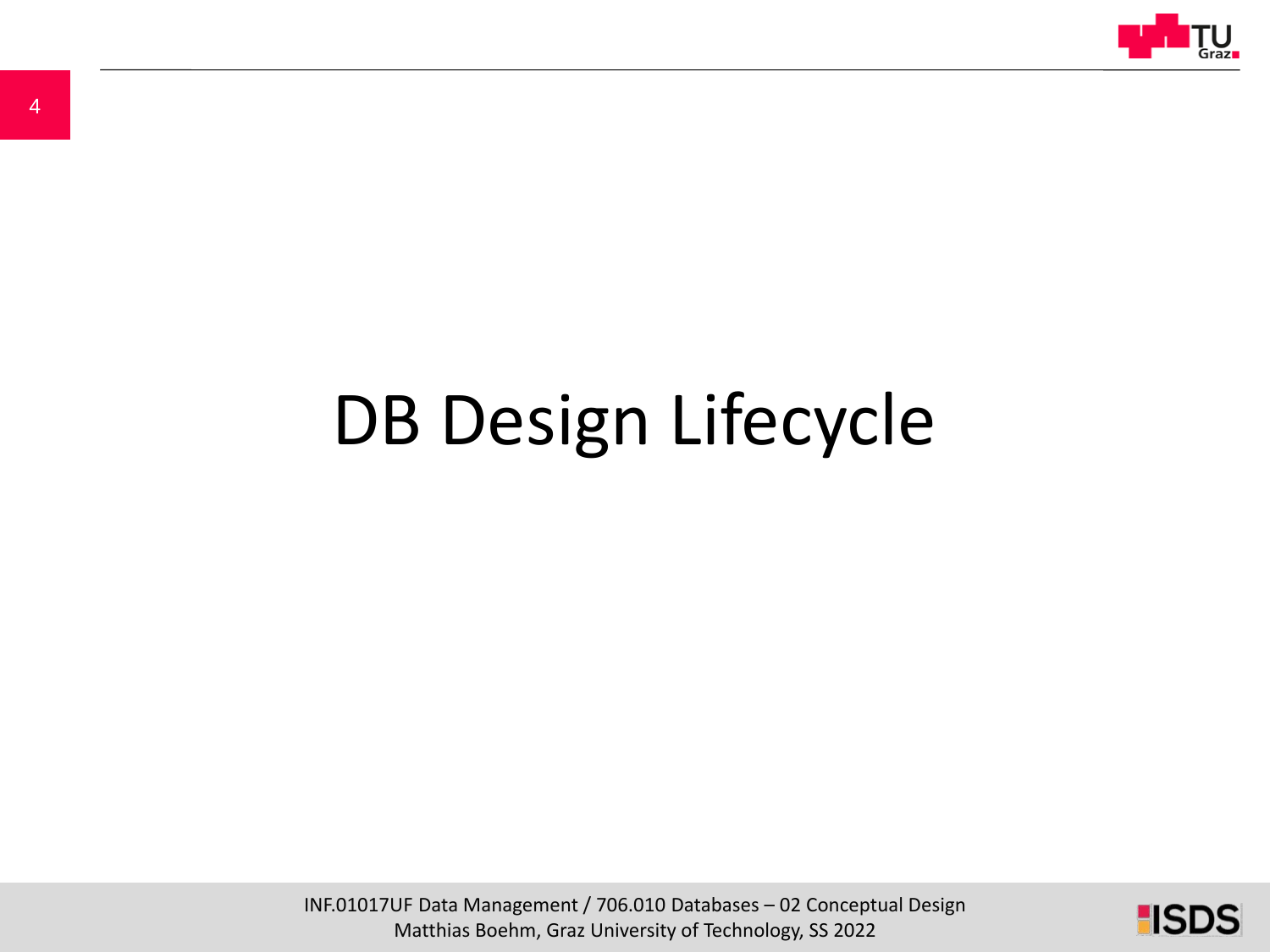

# DB Design Lifecycle

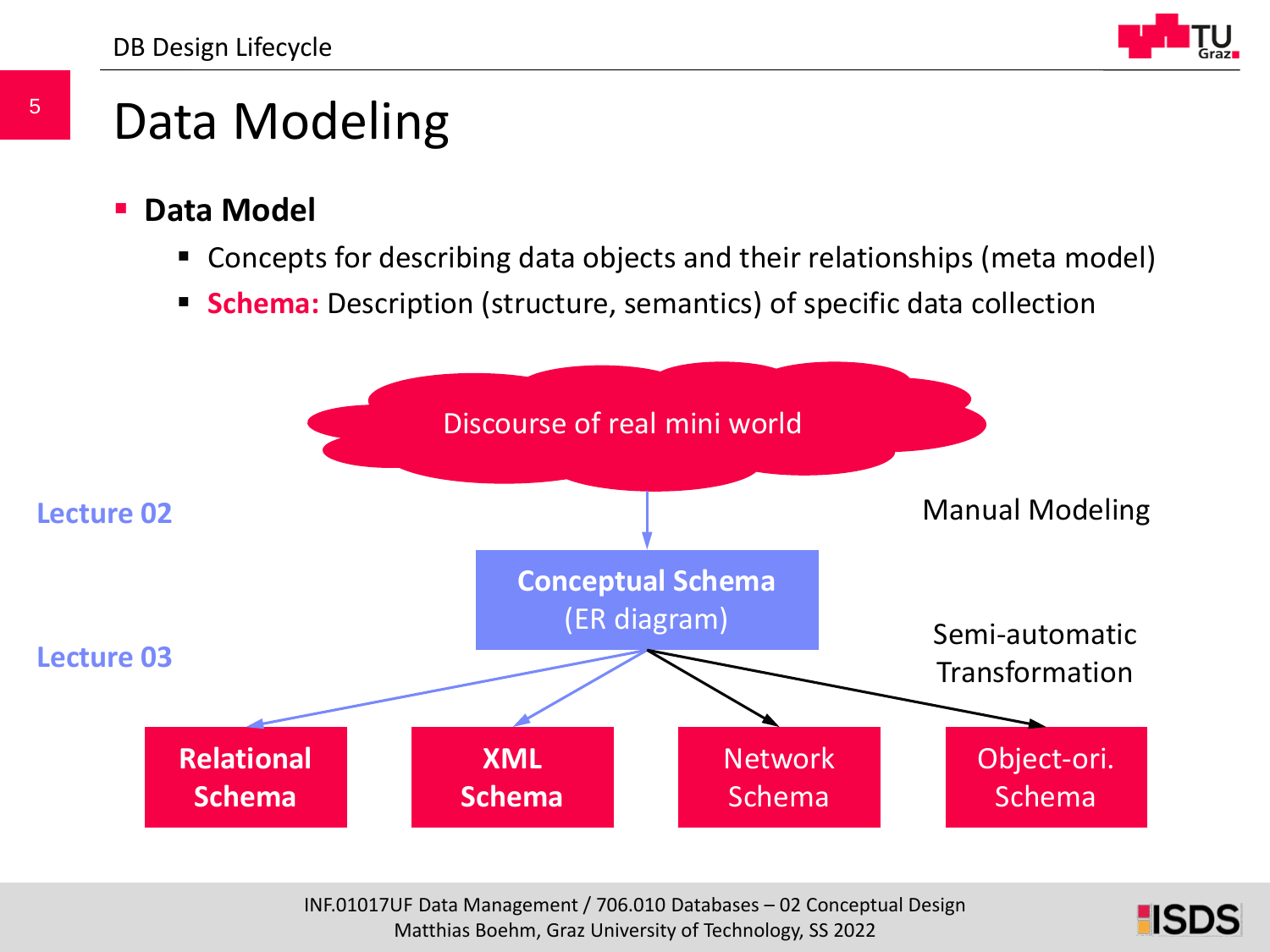

### Data Modeling

- **Data Model**
	- Concepts for describing data objects and their relationships (meta model)
	- **Schema:** Description (structure, semantics) of specific data collection



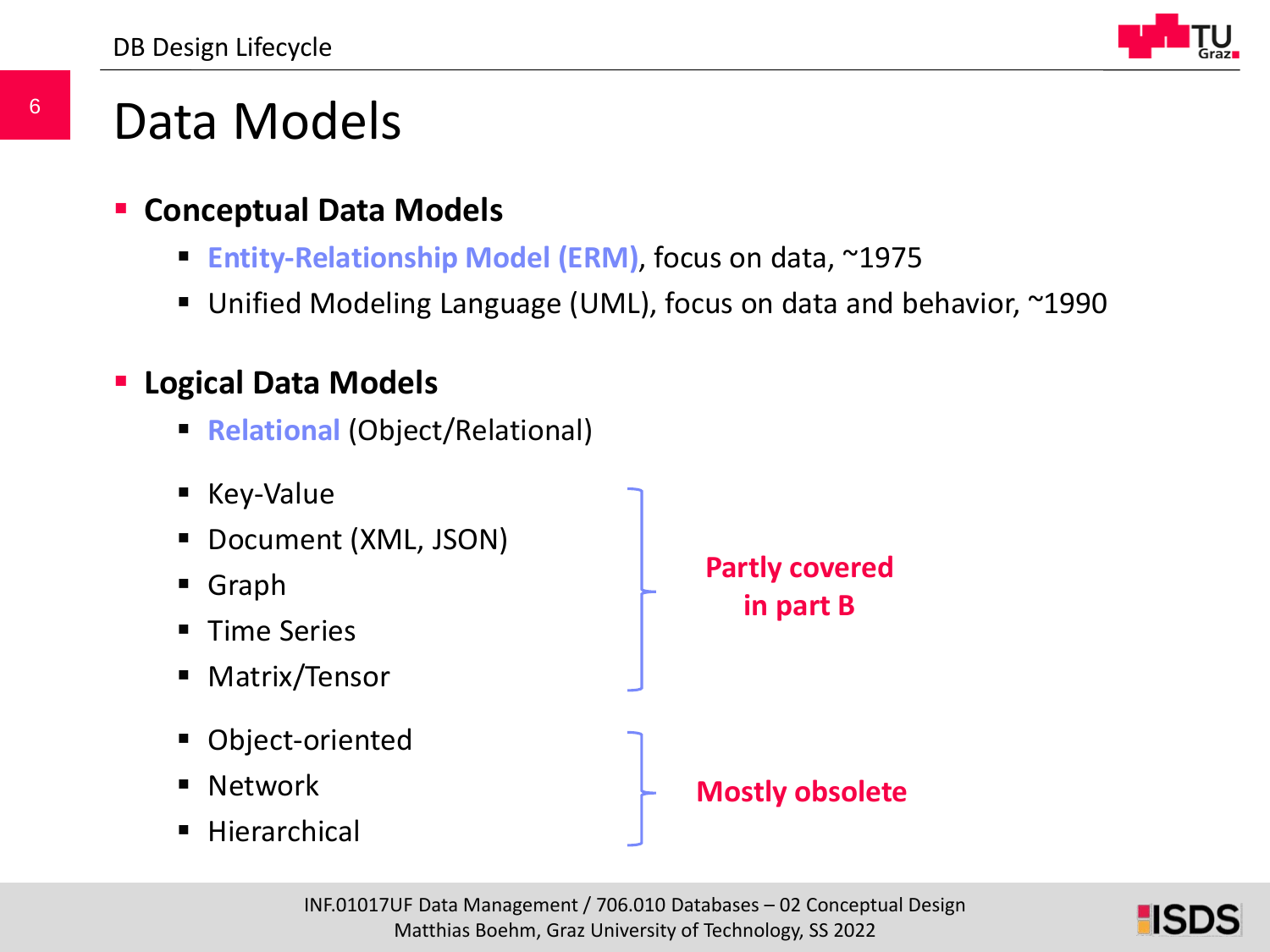

### Data Models

#### **Conceptual Data Models**

- **Entity-Relationship Model (ERM)**, focus on data, ~1975
- Unified Modeling Language (UML), focus on data and behavior, ~1990

#### **Logical Data Models**

**Relational (Object/Relational)** 



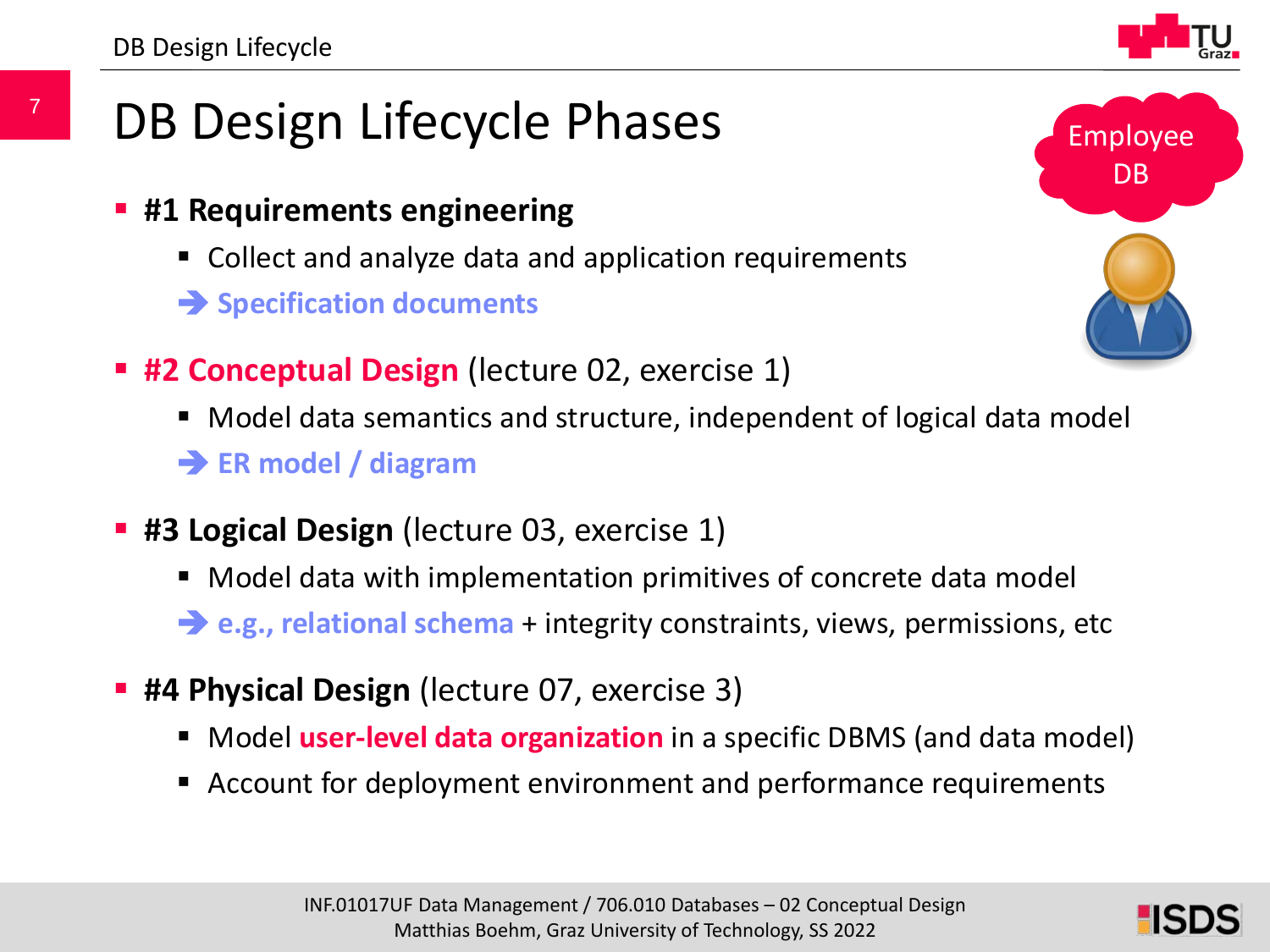7

- **#1 Requirements engineering**
	- Collect and analyze data and application requirements
	- **Specification documents**
- **#2 Conceptual Design** (lecture 02, exercise 1)
	- Model data semantics and structure, independent of logical data model **ER model / diagram**
- **#3 Logical Design** (lecture 03, exercise 1)
	- Model data with implementation primitives of concrete data model
	- **e.g., relational schema** + integrity constraints, views, permissions, etc
- **#4 Physical Design** (lecture 07, exercise 3)
	- **Model user-level data organization** in a specific DBMS (and data model)
	- Account for deployment environment and performance requirements



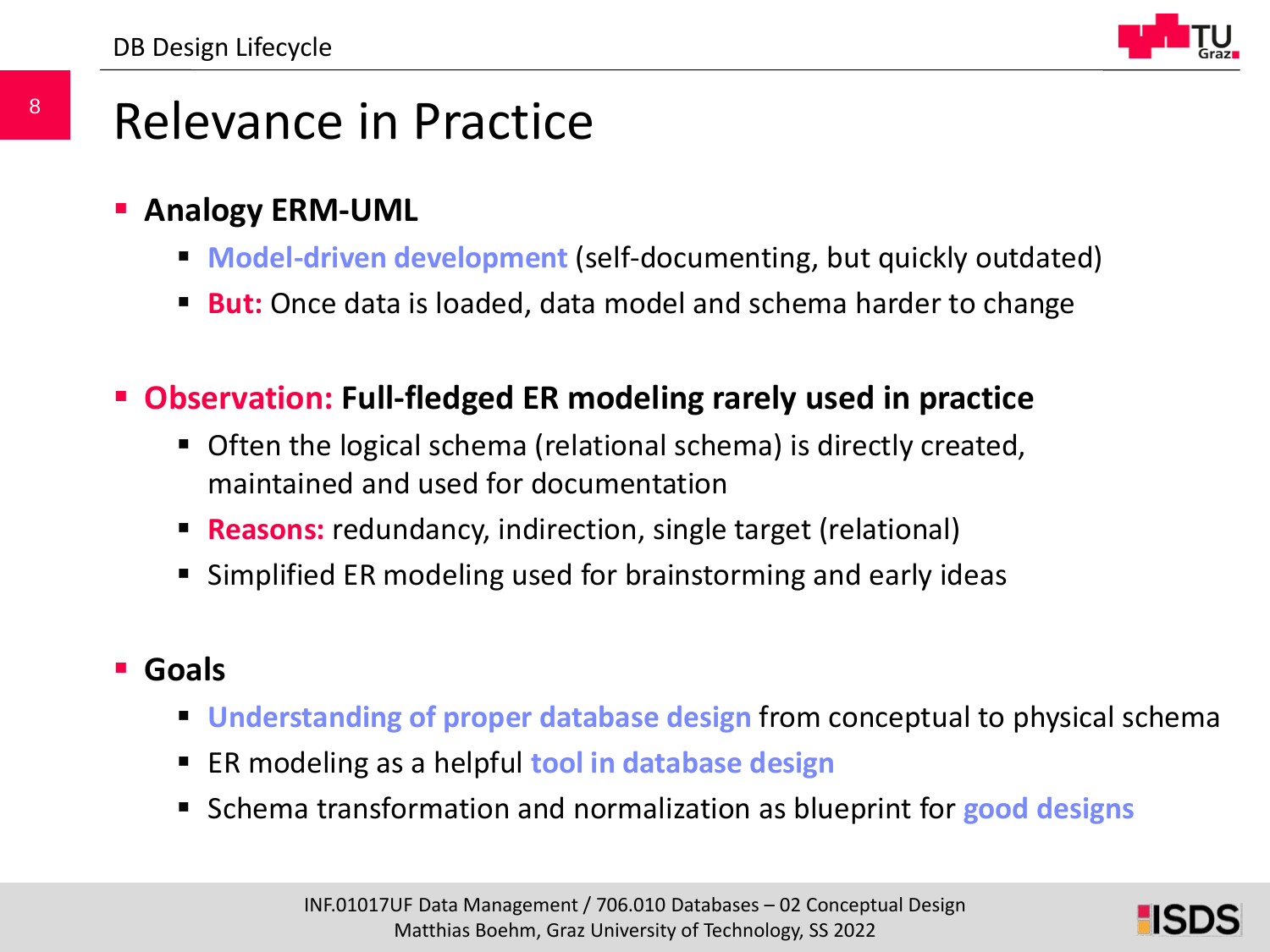

### Relevance in Practice

- **Analogy ERM-UML**
	- **Model-driven development** (self-documenting, but quickly outdated)
	- **But:** Once data is loaded, data model and schema harder to change
- **Observation: Full-fledged ER modeling rarely used in practice**
	- Often the logical schema (relational schema) is directly created, maintained and used for documentation
	- **Reasons:** redundancy, indirection, single target (relational)
	- Simplified ER modeling used for brainstorming and early ideas

#### **Goals**

- **Understanding of proper database design** from conceptual to physical schema
- ER modeling as a helpful **tool in database design**
- Schema transformation and normalization as blueprint for **good designs**

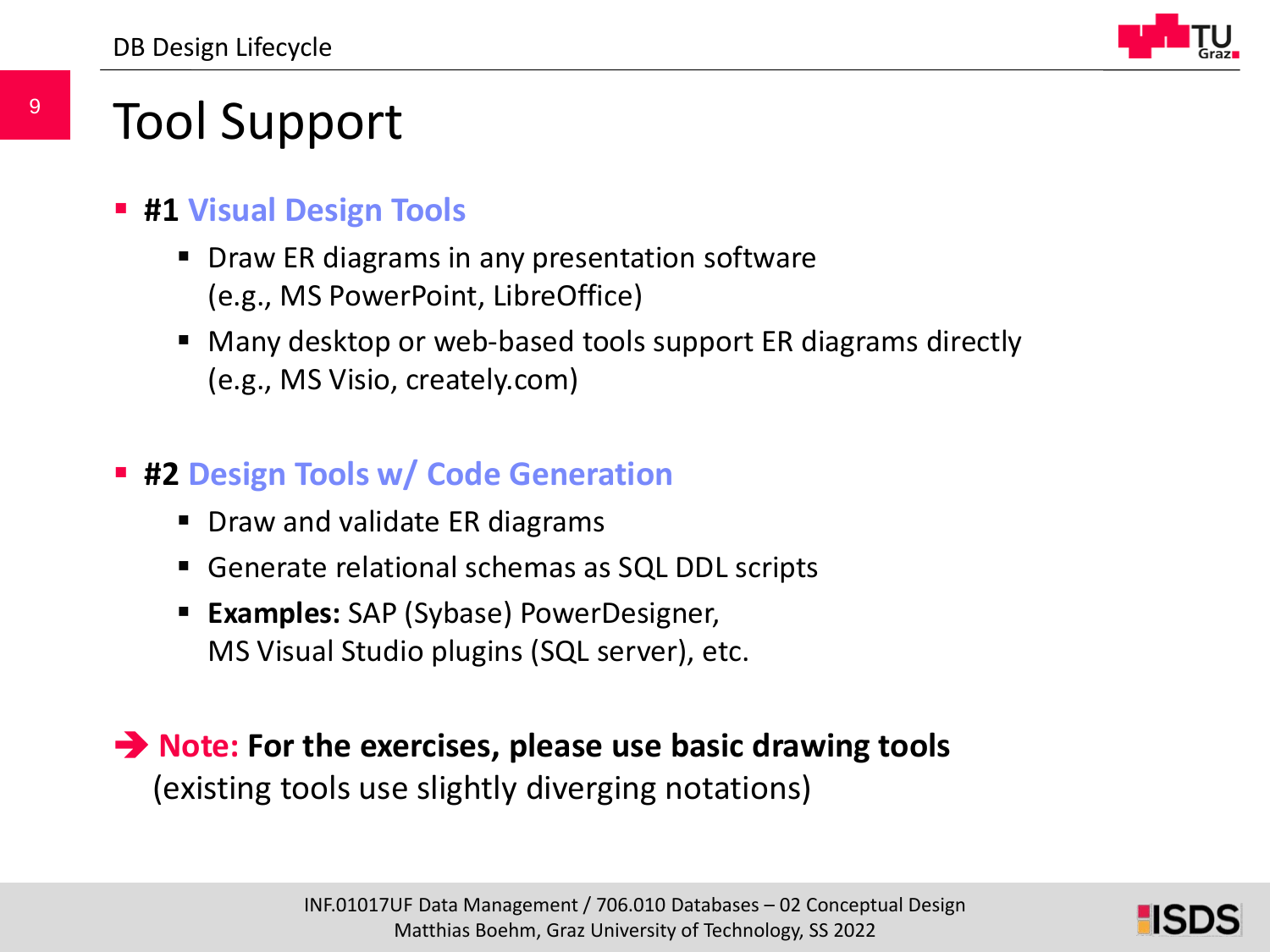

### Tool Support

- **#1 Visual Design Tools**
	- Draw ER diagrams in any presentation software (e.g., MS PowerPoint, LibreOffice)
	- Many desktop or web-based tools support ER diagrams directly (e.g., MS Visio, creately.com)
- **#2 Design Tools w/ Code Generation**
	- **Draw and validate ER diagrams**
	- Generate relational schemas as SQL DDL scripts
	- **Examples:** SAP (Sybase) PowerDesigner, MS Visual Studio plugins (SQL server), etc.

**→ Note:** For the exercises, please use basic drawing tools (existing tools use slightly diverging notations)

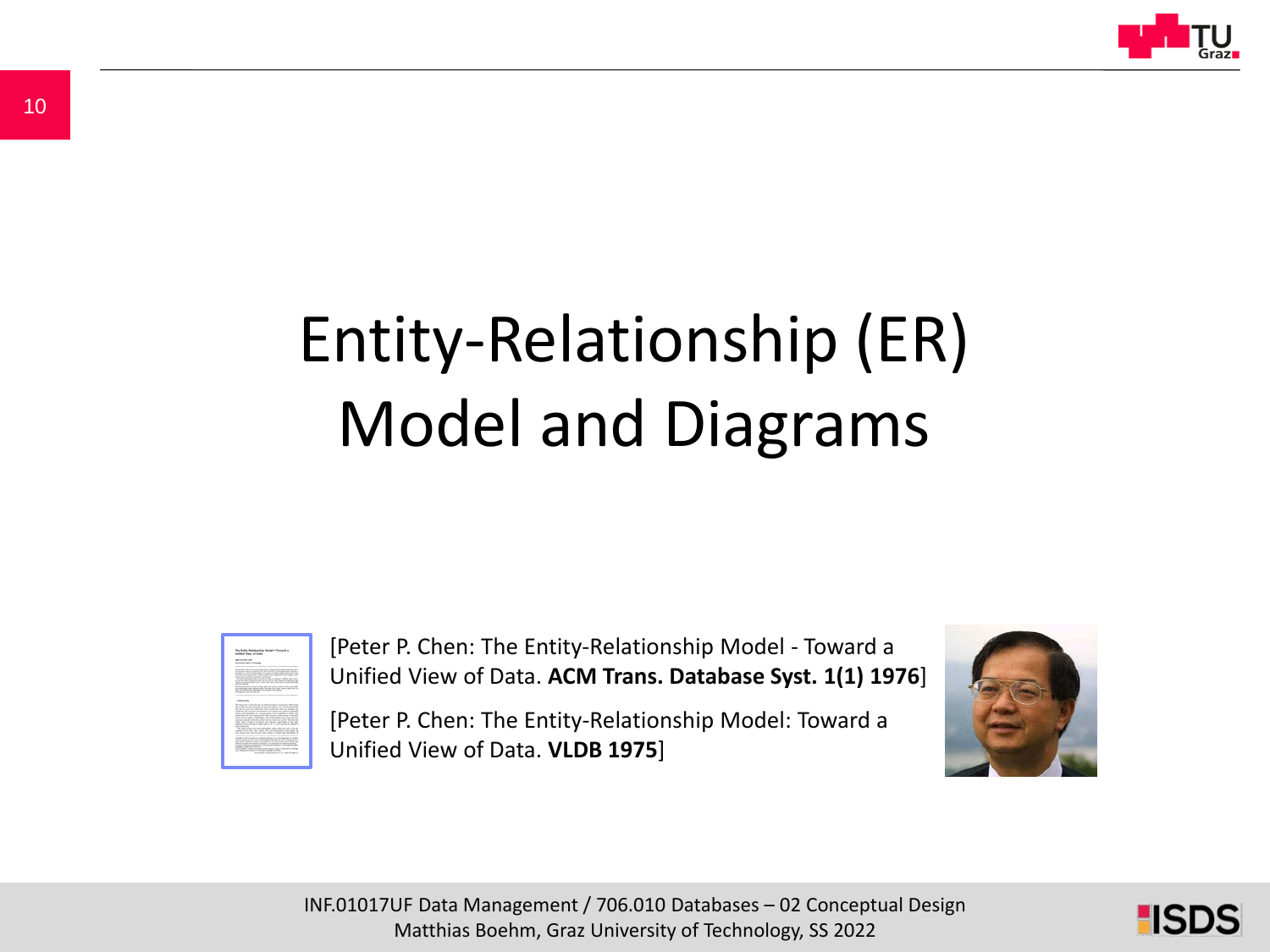

# Entity-Relationship (ER) Model and Diagrams



[Peter P. Chen: The Entity-Relationship Model - Toward a Unified View of Data. **ACM Trans. Database Syst. 1(1) 1976**]

[Peter P. Chen: The Entity-Relationship Model: Toward a Unified View of Data. **VLDB 1975**]



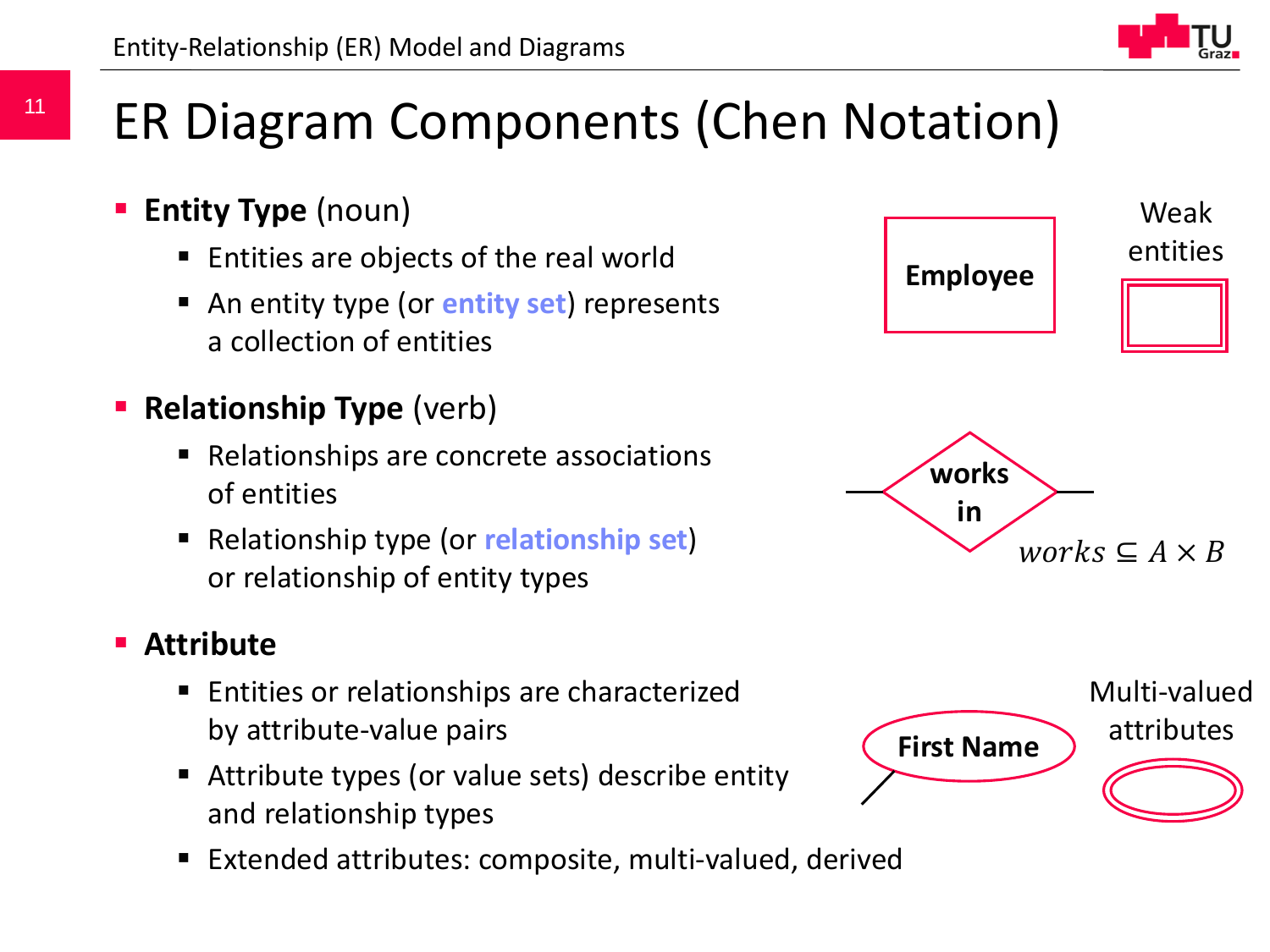## ER Diagram Components (Chen Notation)

- **Entity Type** (noun)
	- Entities are objects of the real world
	- An entity type (or **entity set**) represents a collection of entities
- **Relationship Type** (verb)
	- Relationships are concrete associations of entities
	- Relationship type (or **relationship set**) or relationship of entity types

#### **Attribute**

- Entities or relationships are characterized by attribute-value pairs
- Attribute types (or value sets) describe entity and relationship types
- Extended attributes: composite, multi-valued, derived



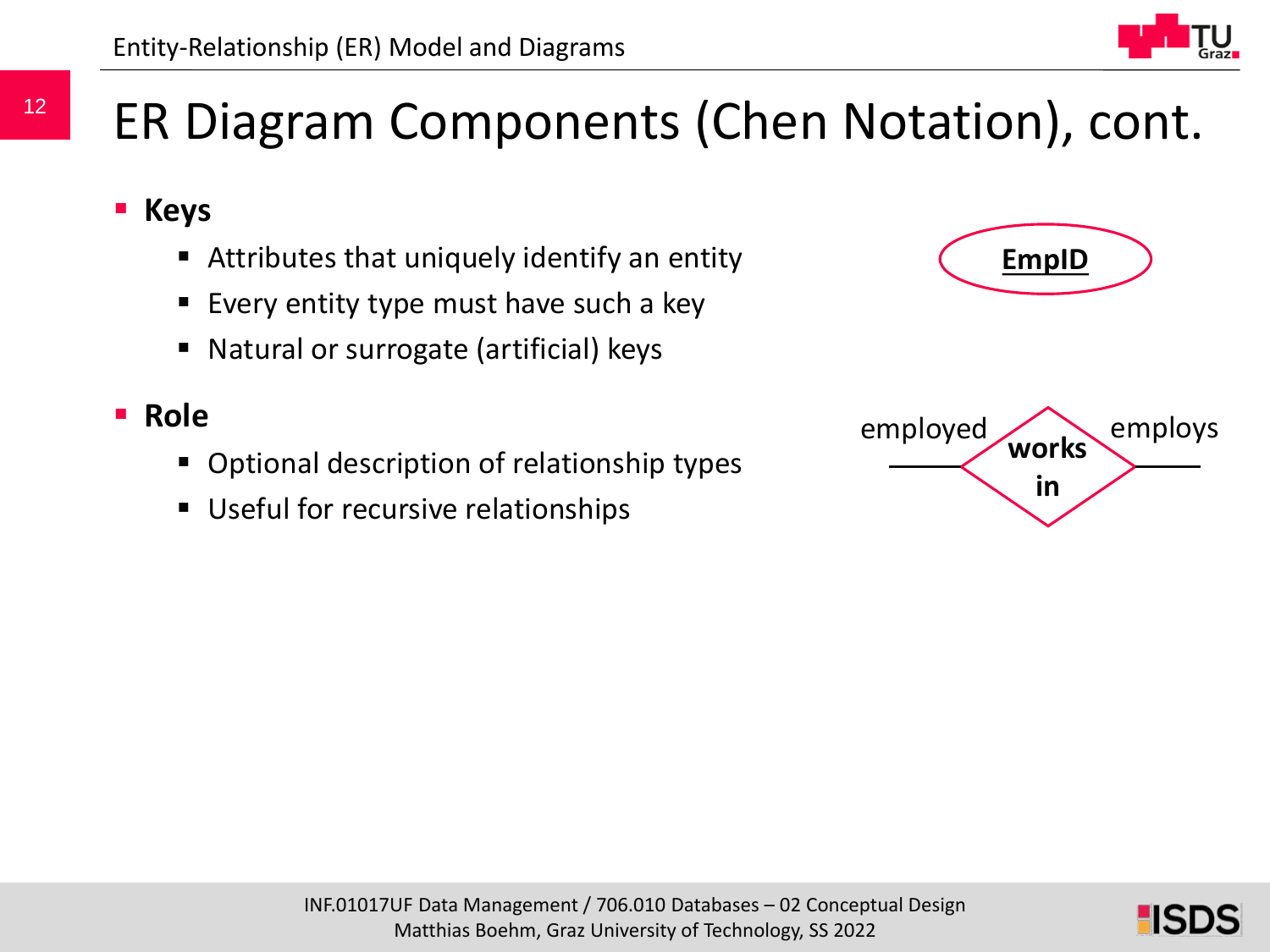### ER Diagram Components (Chen Notation), cont.

- **Keys**
	- Attributes that uniquely identify an entity
	- **Every entity type must have such a key**
	- Natural or surrogate (artificial) keys

#### **Role**

- Optional description of relationship types
- **Useful for recursive relationships**





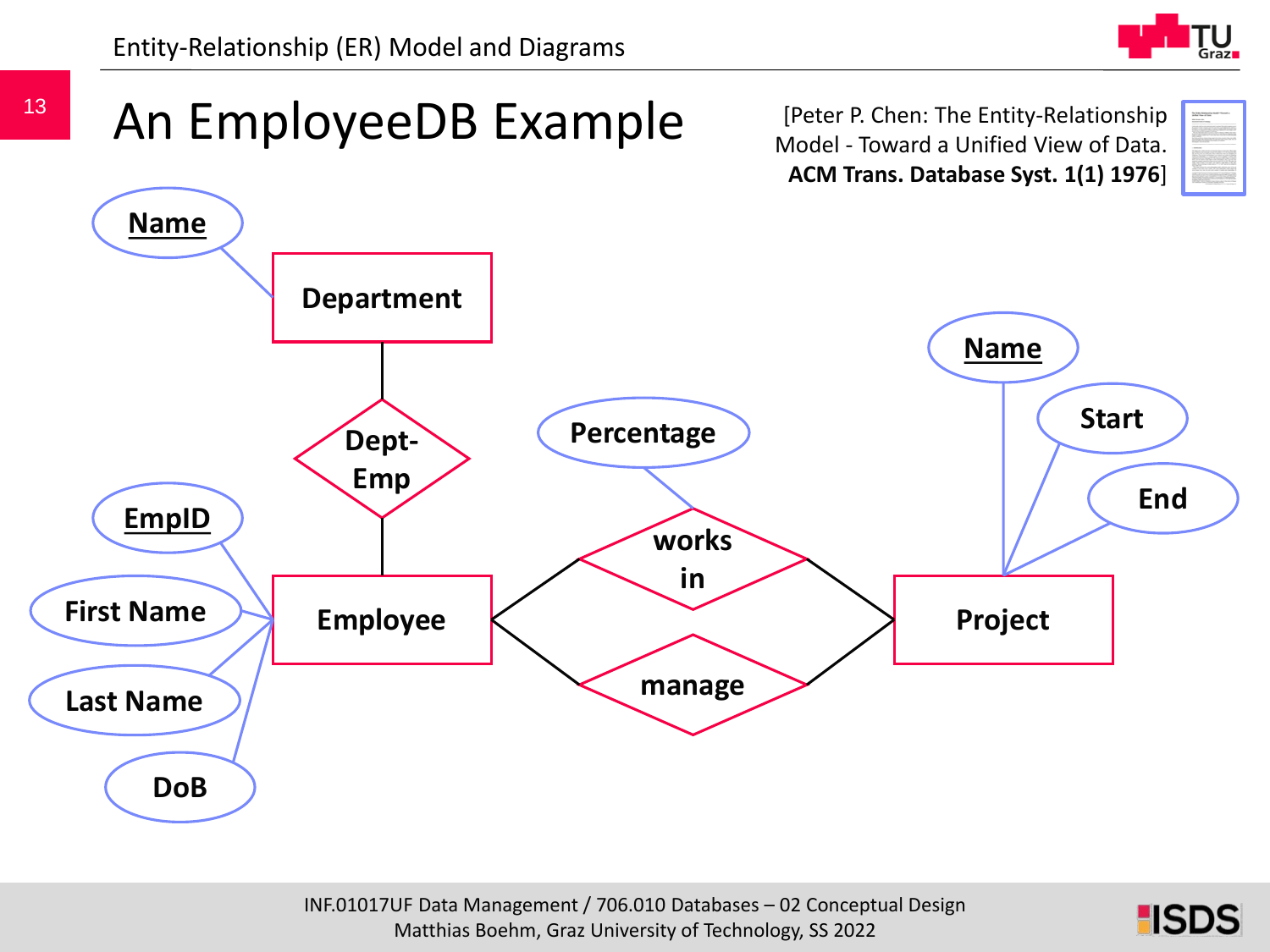



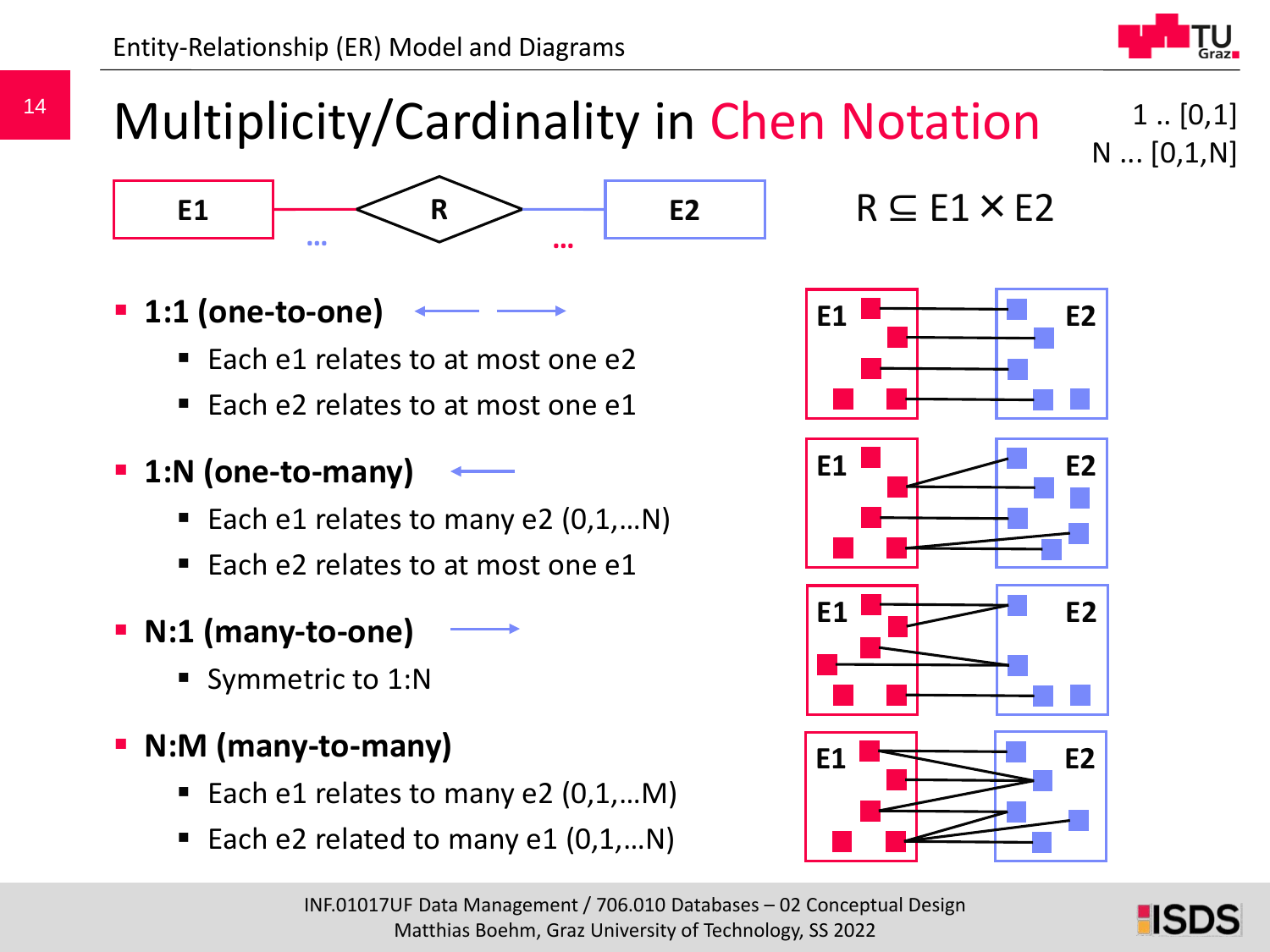

 $1$ ..  $[0,1]$ 

N ... [0,1,N]

### Multiplicity/Cardinality in Chen Notation



- **1:1 (one-to-one)**
	- Each e1 relates to at most one e2
	- Each e2 relates to at most one e1
- **1:N (one-to-many)**
	- Each e1 relates to many e2  $(0,1,...N)$
	- Each  $e^2$  relates to at most one  $e^1$
- **N:1 (many-to-one)**
	- Symmetric to 1:N
- **N:M (many-to-many)**
	- Each e1 relates to many e2  $(0,1,...M)$
	- Each e2 related to many e1 (0,1,…N)









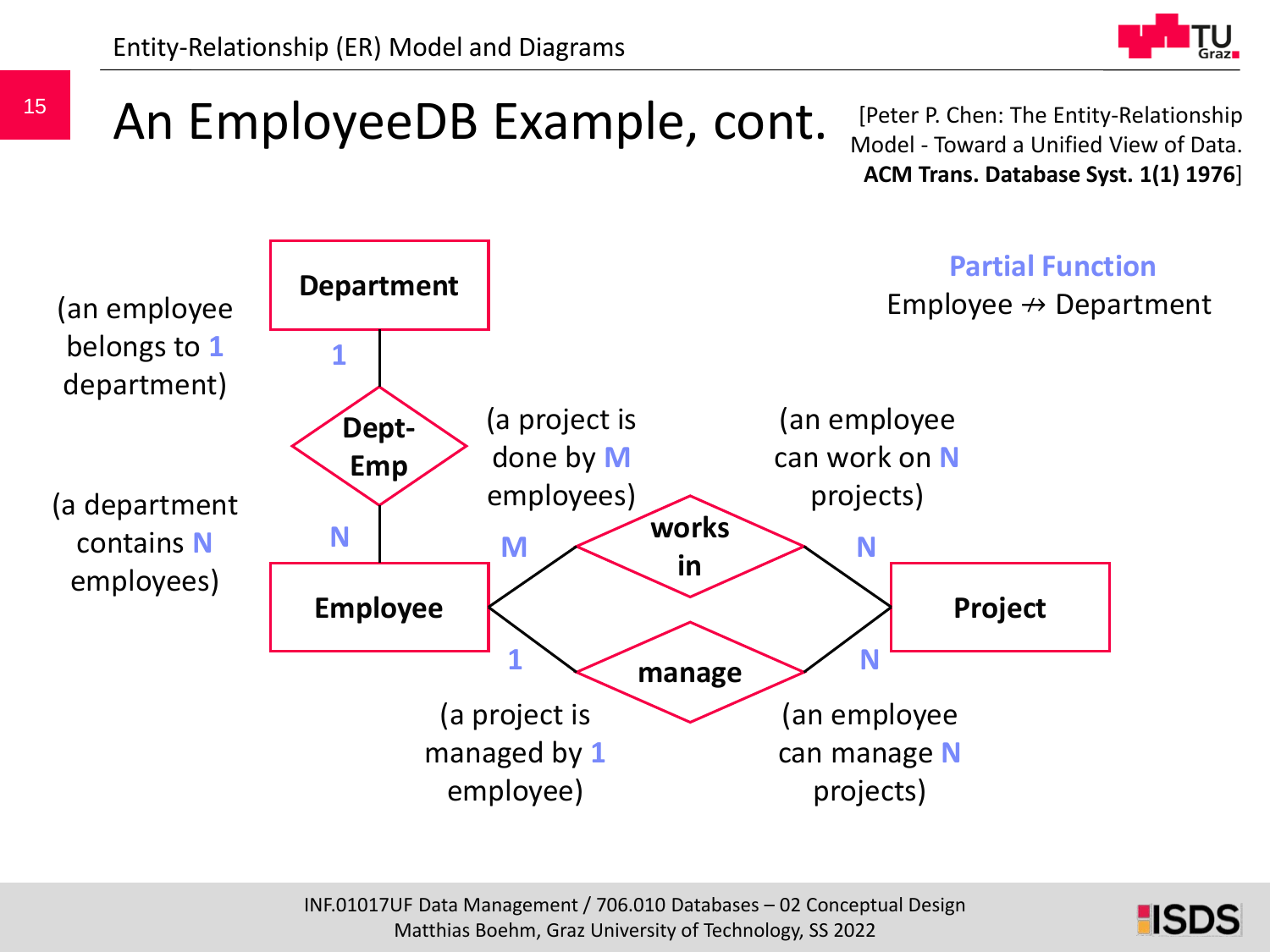

# An EmployeeDB Example, cont.

[Peter P. Chen: The Entity-Relationship Model - Toward a Unified View of Data. **ACM Trans. Database Syst. 1(1) 1976**]



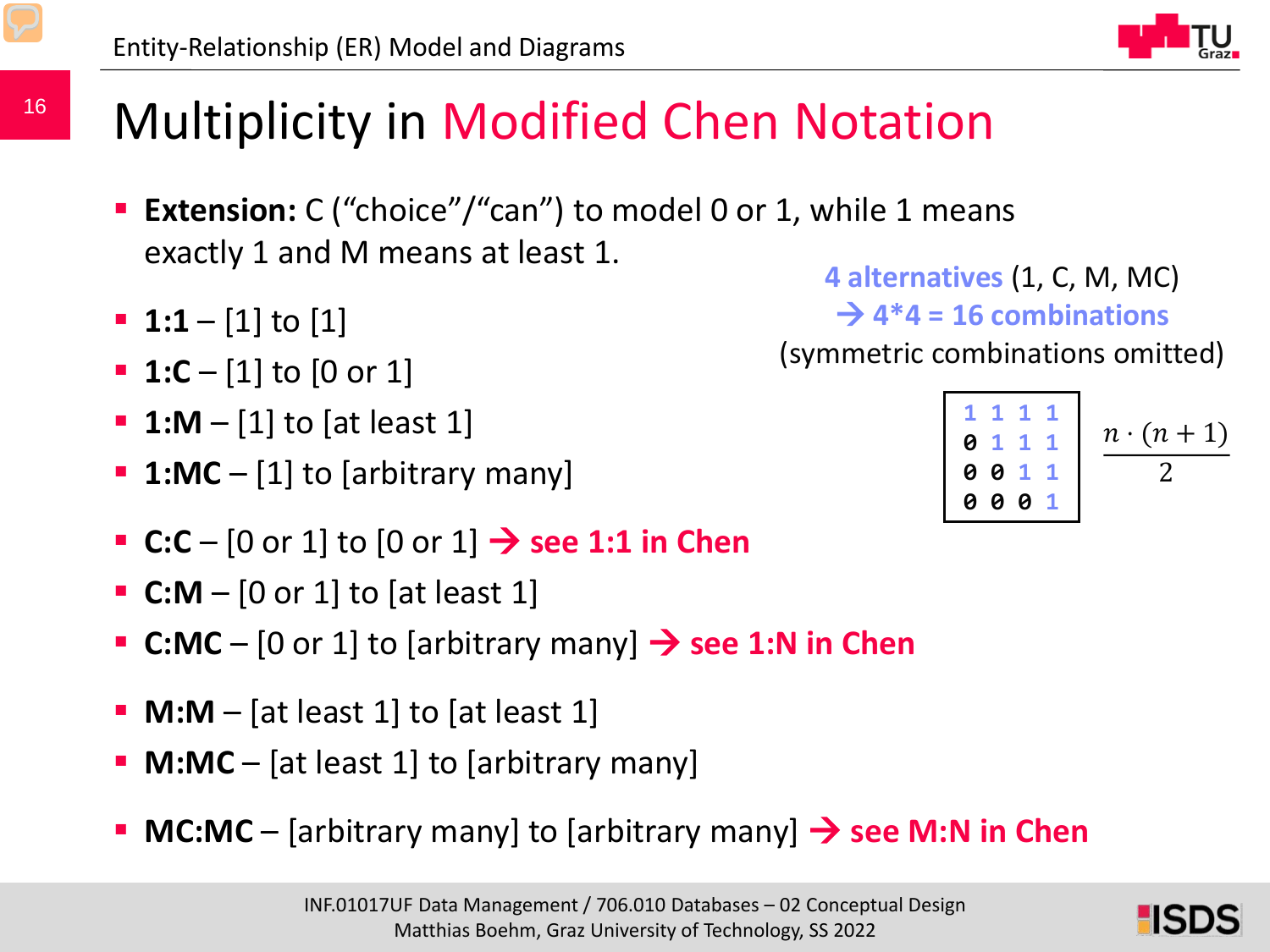### Multiplicity in Modified Chen Notation

- **Extension:** C ("choice"/"can") to model 0 or 1, while 1 means exactly 1 and M means at least 1. **4 alternatives** (1, C, M, MC)
- **1:1** [1] to [1]
- **1:C**  [1] to [0 or 1]
- **1:M**  [1] to [at least 1]
- **1:MC** [1] to [arbitrary many]
- **C:C** [0 or 1] to [0 or 1]  $\rightarrow$  see 1:1 in Chen
- **C:M**  [0 or 1] to [at least 1]
- **C:MC** [0 or 1] to [arbitrary many]  $\rightarrow$  see 1:N in Chen
- **M:M** [at least 1] to [at least 1]
- **M:MC** [at least 1] to [arbitrary many]
- **MC:MC** [arbitrary many] to [arbitrary many] → see M:N in Chen

(symmetric combinations omitted)

 $\rightarrow$  4<sup>\*</sup>4 = 16 combinations

| 1 1 1 1            |                 |
|--------------------|-----------------|
| 0 1 1 1            | $n \cdot (n+1)$ |
| 0 0 1 1<br>0 0 0 1 |                 |
|                    |                 |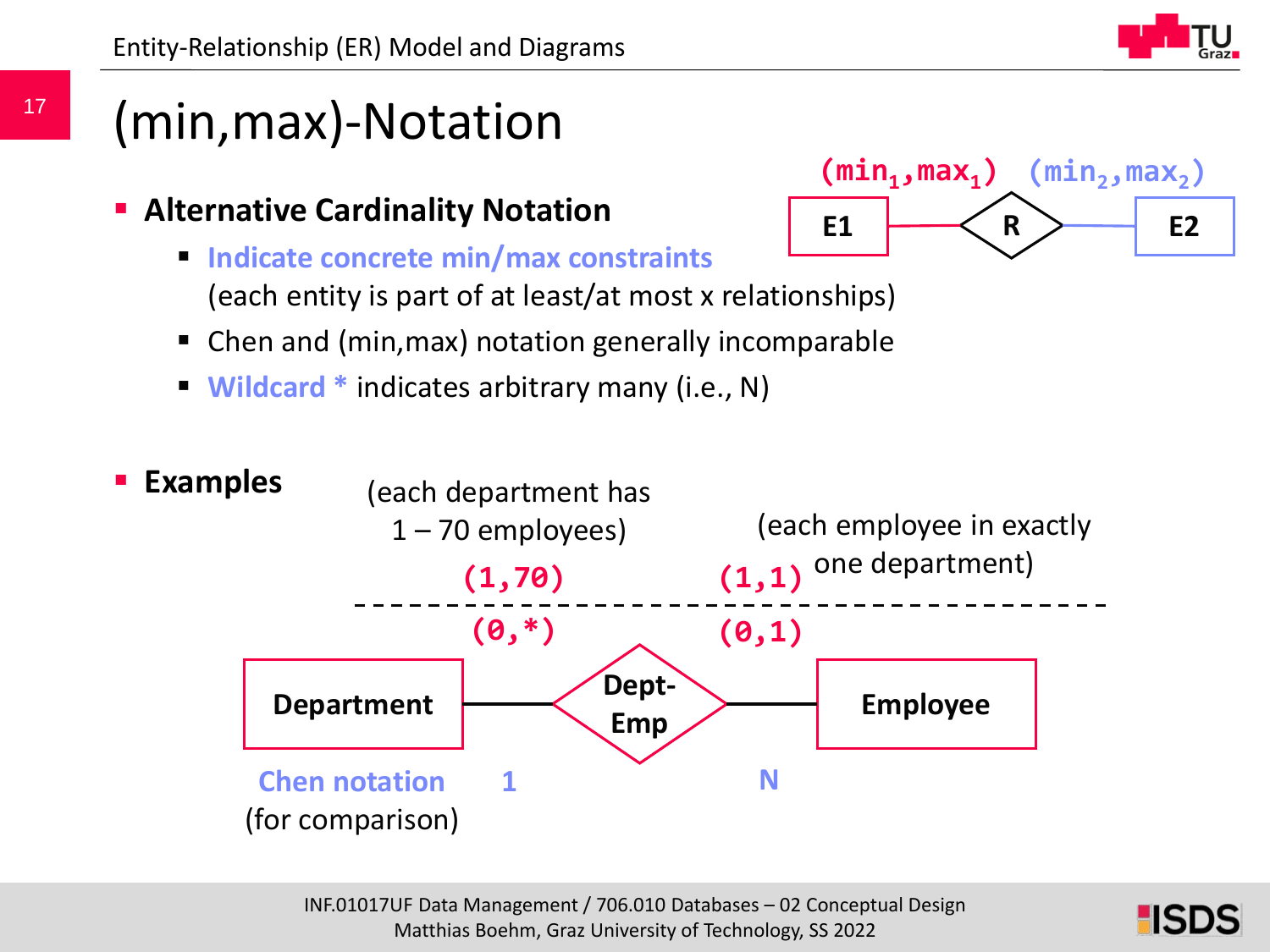### (min,max)-Notation

- **Alternative Cardinality Notation**
	- **Indicate concrete min/max constraints** (each entity is part of at least/at most x relationships) **E1 R E2**
	- Chen and (min,max) notation generally incomparable
	- **Wildcard \*** indicates arbitrary many (i.e., N)



 $(\min_1, \max_1)$   $(\min_2, \max_2)$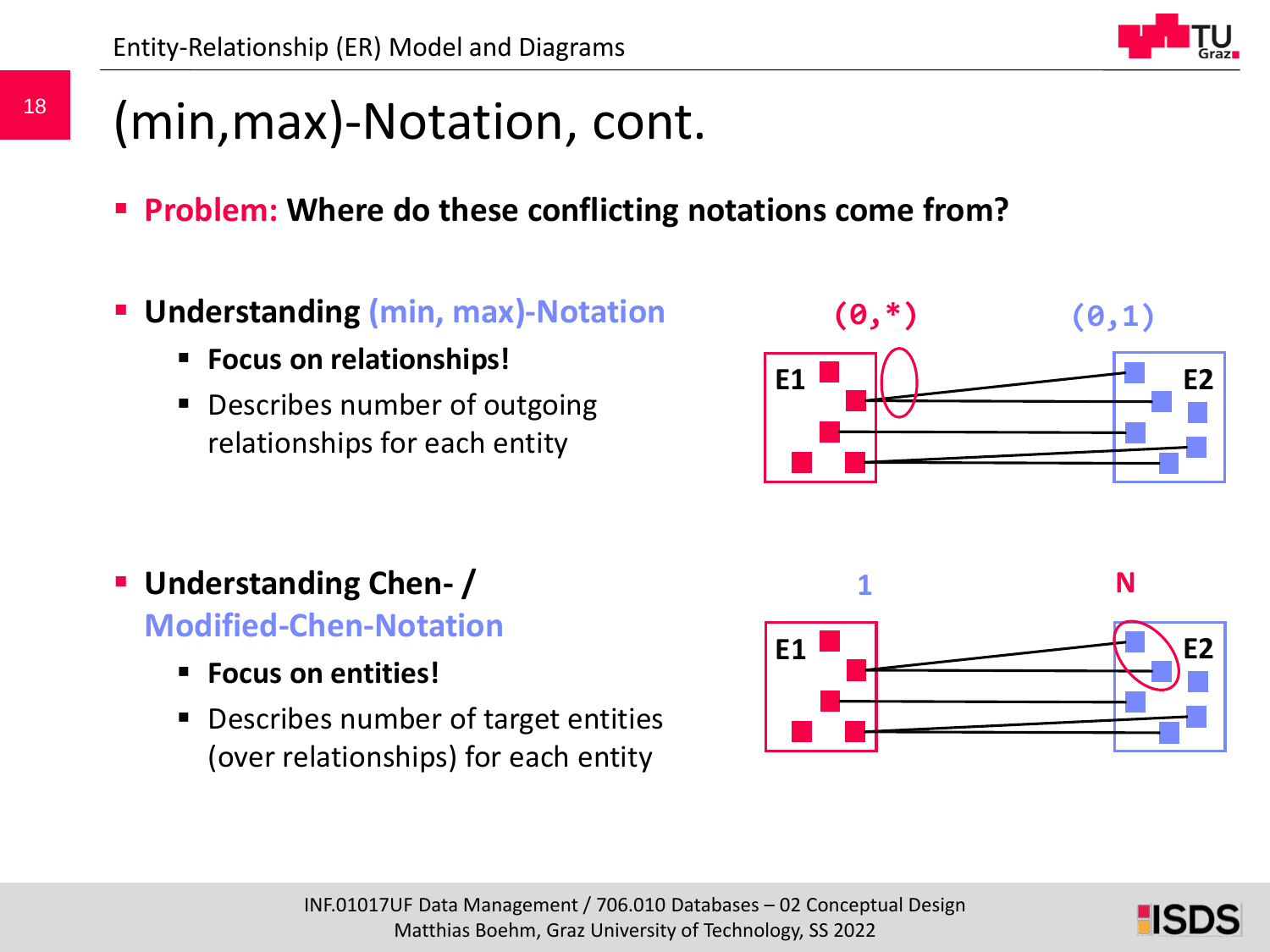### (min,max)-Notation, cont.

- **Problem: Where do these conflicting notations come from?**
- **Understanding (min, max)-Notation**
	- **Focus on relationships!**
	- **Describes number of outgoing** relationships for each entity

- **Understanding Chen- / Modified-Chen-Notation**
	- **Focus on entities!**
	- **Describes number of target entities** (over relationships) for each entity

![](_page_17_Figure_10.jpeg)

![](_page_17_Picture_12.jpeg)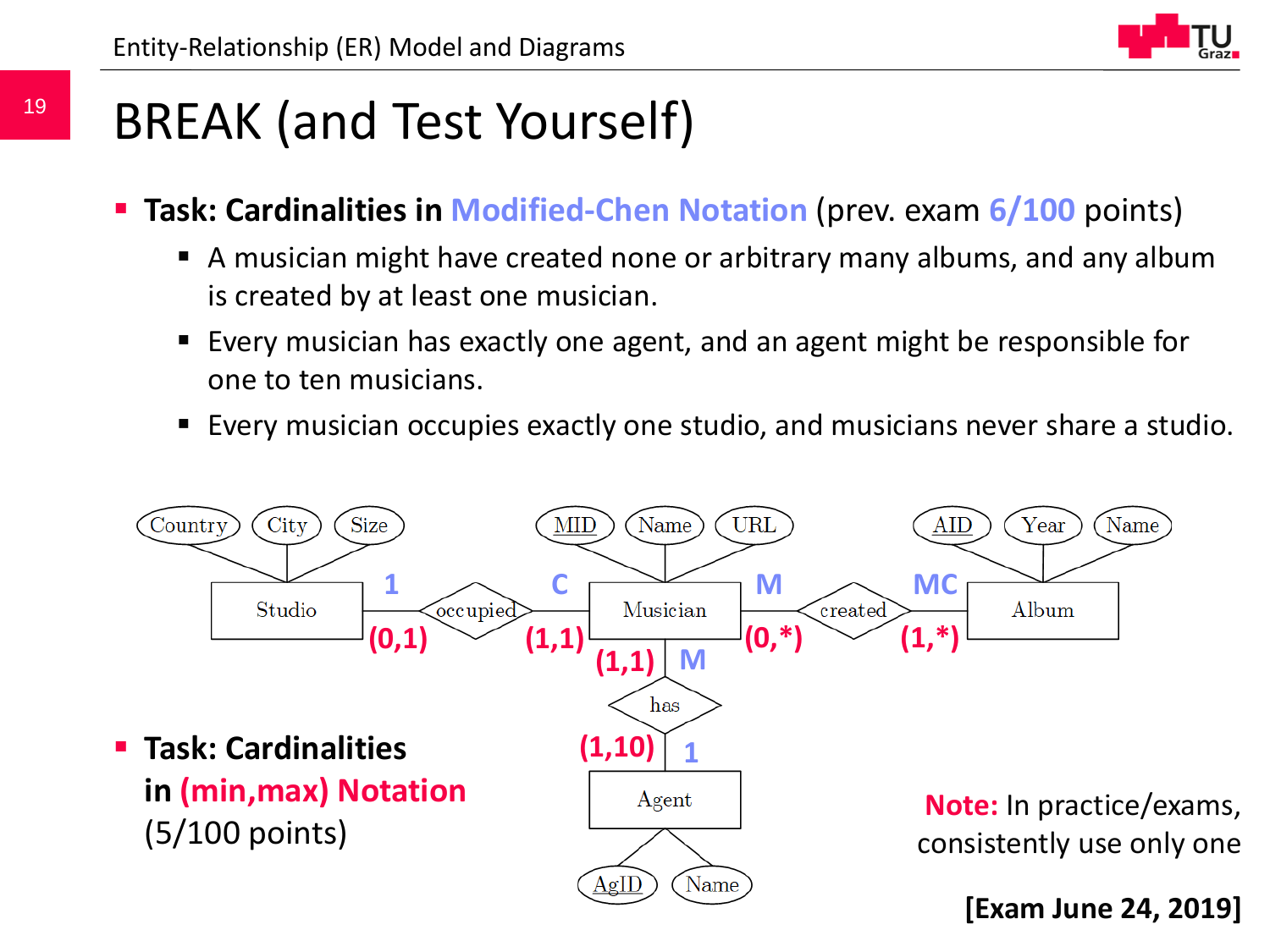19

![](_page_18_Figure_1.jpeg)

### BREAK (and Test Yourself)

- **Task: Cardinalities in Modified-Chen Notation** (prev. exam **6/100** points)
	- A musician might have created none or arbitrary many albums, and any album is created by at least one musician.
	- Every musician has exactly one agent, and an agent might be responsible for one to ten musicians.
	- Every musician occupies exactly one studio, and musicians never share a studio.

![](_page_18_Figure_7.jpeg)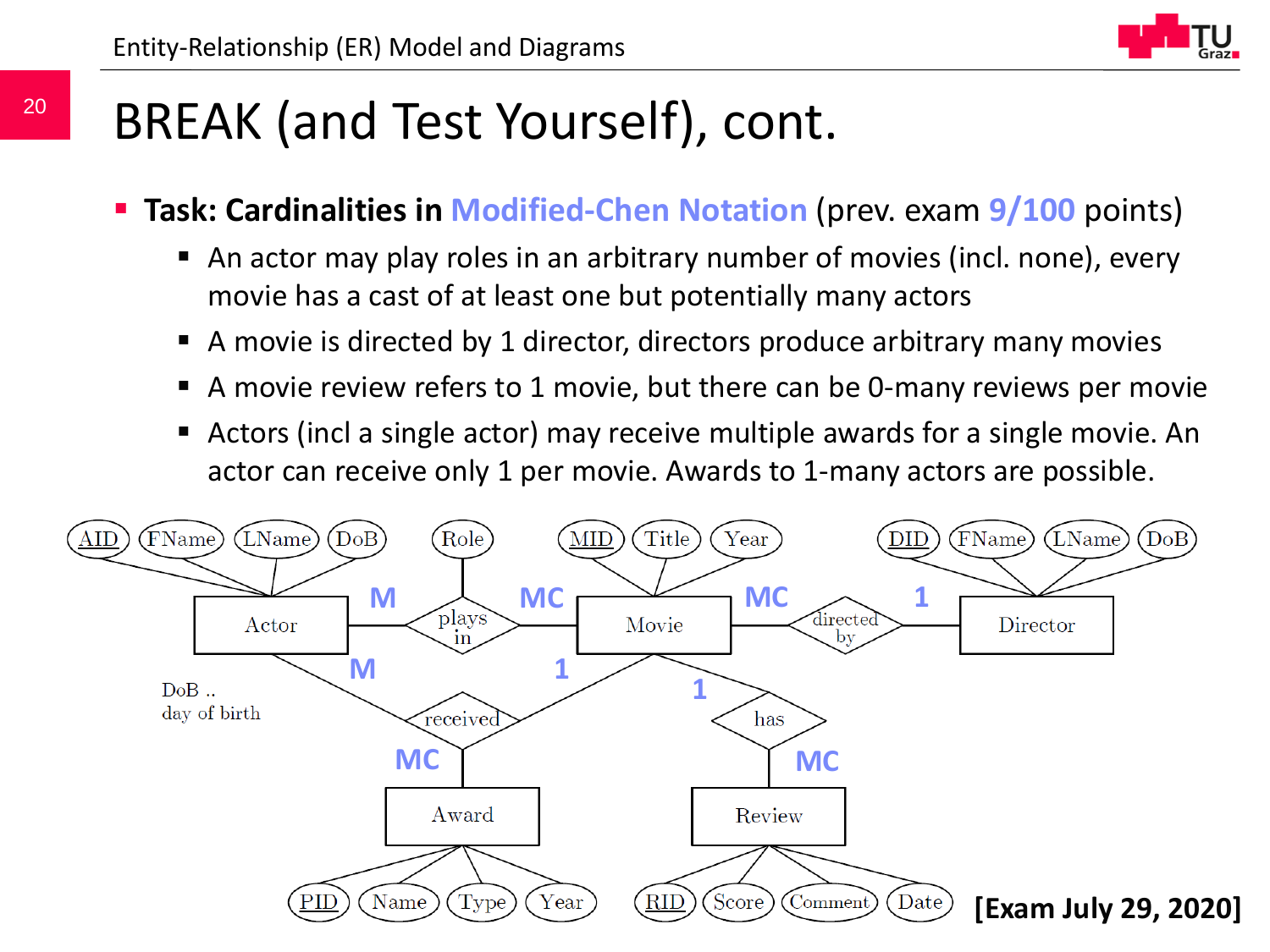### BREAK (and Test Yourself), cont.

- **Task: Cardinalities in Modified-Chen Notation** (prev. exam **9/100** points)
	- An actor may play roles in an arbitrary number of movies (incl. none), every movie has a cast of at least one but potentially many actors
	- A movie is directed by 1 director, directors produce arbitrary many movies
	- A movie review refers to 1 movie, but there can be 0-many reviews per movie
	- Actors (incl a single actor) may receive multiple awards for a single movie. An actor can receive only 1 per movie. Awards to 1-many actors are possible.

![](_page_19_Figure_8.jpeg)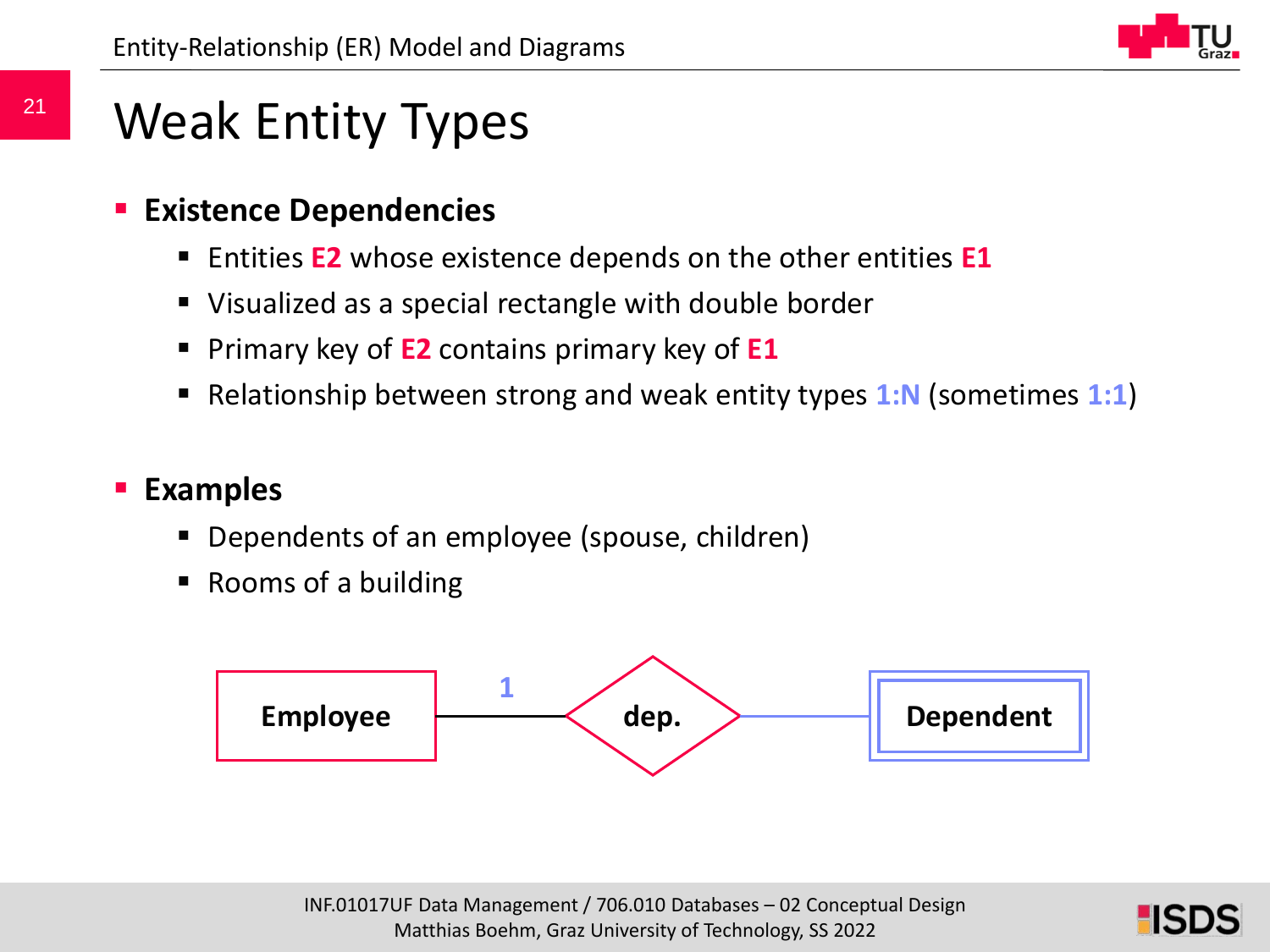![](_page_20_Picture_1.jpeg)

### Weak Entity Types

#### **Existence Dependencies**

- Entities **E2** whose existence depends on the other entities **E1**
- Visualized as a special rectangle with double border
- **Primary key of E2** contains primary key of **E1**
- Relationship between strong and weak entity types 1:N (sometimes 1:1)

#### **Examples**

- Dependents of an employee (spouse, children)
- Rooms of a building

![](_page_20_Figure_11.jpeg)

![](_page_20_Picture_13.jpeg)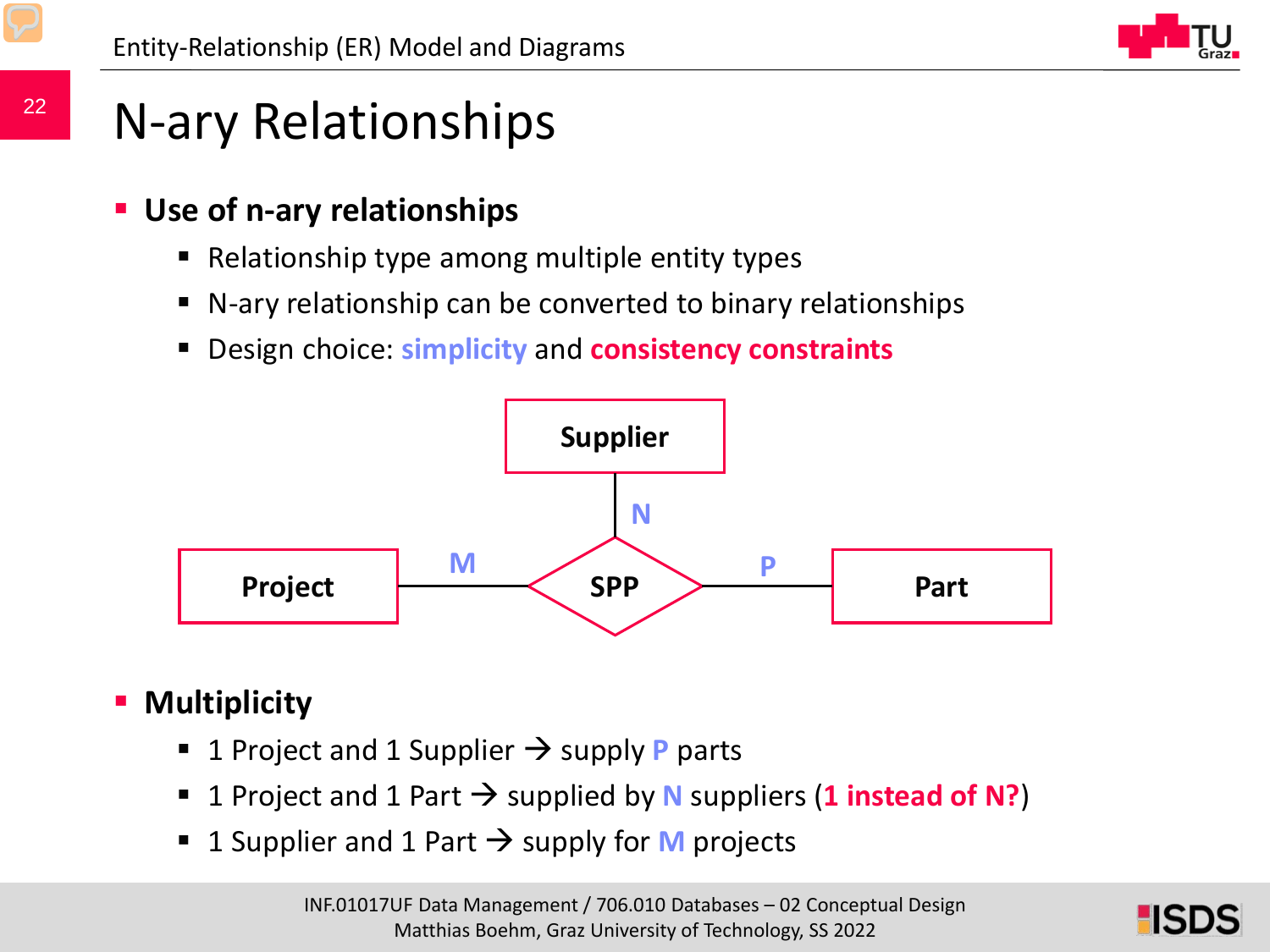![](_page_21_Picture_1.jpeg)

### N-ary Relationships

- **Use of n-ary relationships**
	- Relationship type among multiple entity types
	- N-ary relationship can be converted to binary relationships
	- Design choice: **simplicity** and **consistency constraints**

![](_page_21_Figure_7.jpeg)

### **Multiplicity**

- 1 Project and 1 Supplier  $\rightarrow$  supply **P** parts
- **1** Project and 1 Part  $\rightarrow$  supplied by **N** suppliers (1 instead of N?)
- **1** Supplier and 1 Part  $\rightarrow$  supply for **M** projects

![](_page_21_Picture_13.jpeg)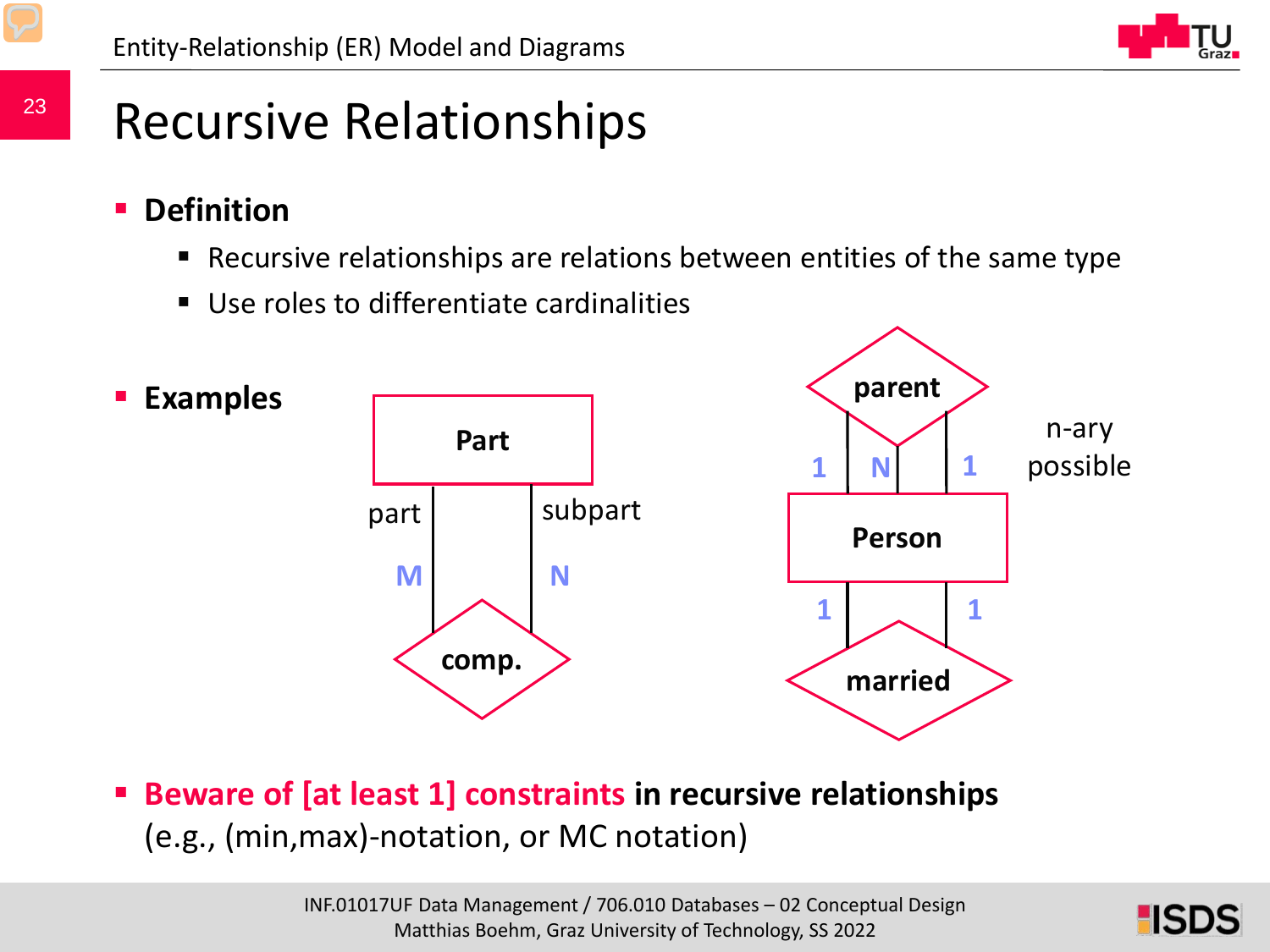## Recursive Relationships

- **Definition**
	- Recursive relationships are relations between entities of the same type
	- Use roles to differentiate cardinalities

![](_page_22_Figure_6.jpeg)

 **Beware of [at least 1] constraints in recursive relationships** (e.g., (min,max)-notation, or MC notation)

![](_page_22_Picture_9.jpeg)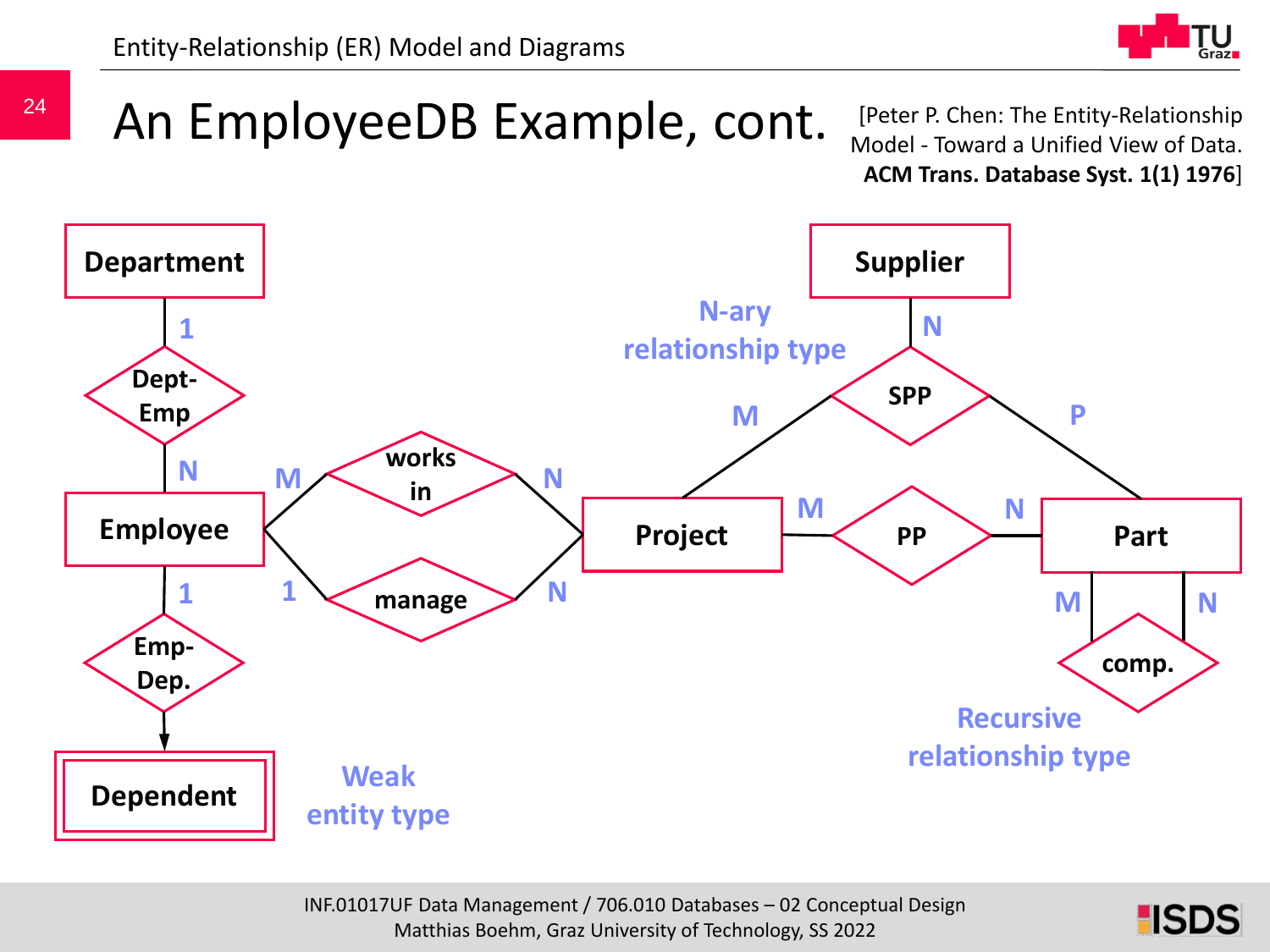![](_page_23_Picture_1.jpeg)

An EmployeeDB Example, cont.

[Peter P. Chen: The Entity-Relationship Model - Toward a Unified View of Data. **ACM Trans. Database Syst. 1(1) 1976**]

![](_page_23_Figure_4.jpeg)

![](_page_23_Picture_6.jpeg)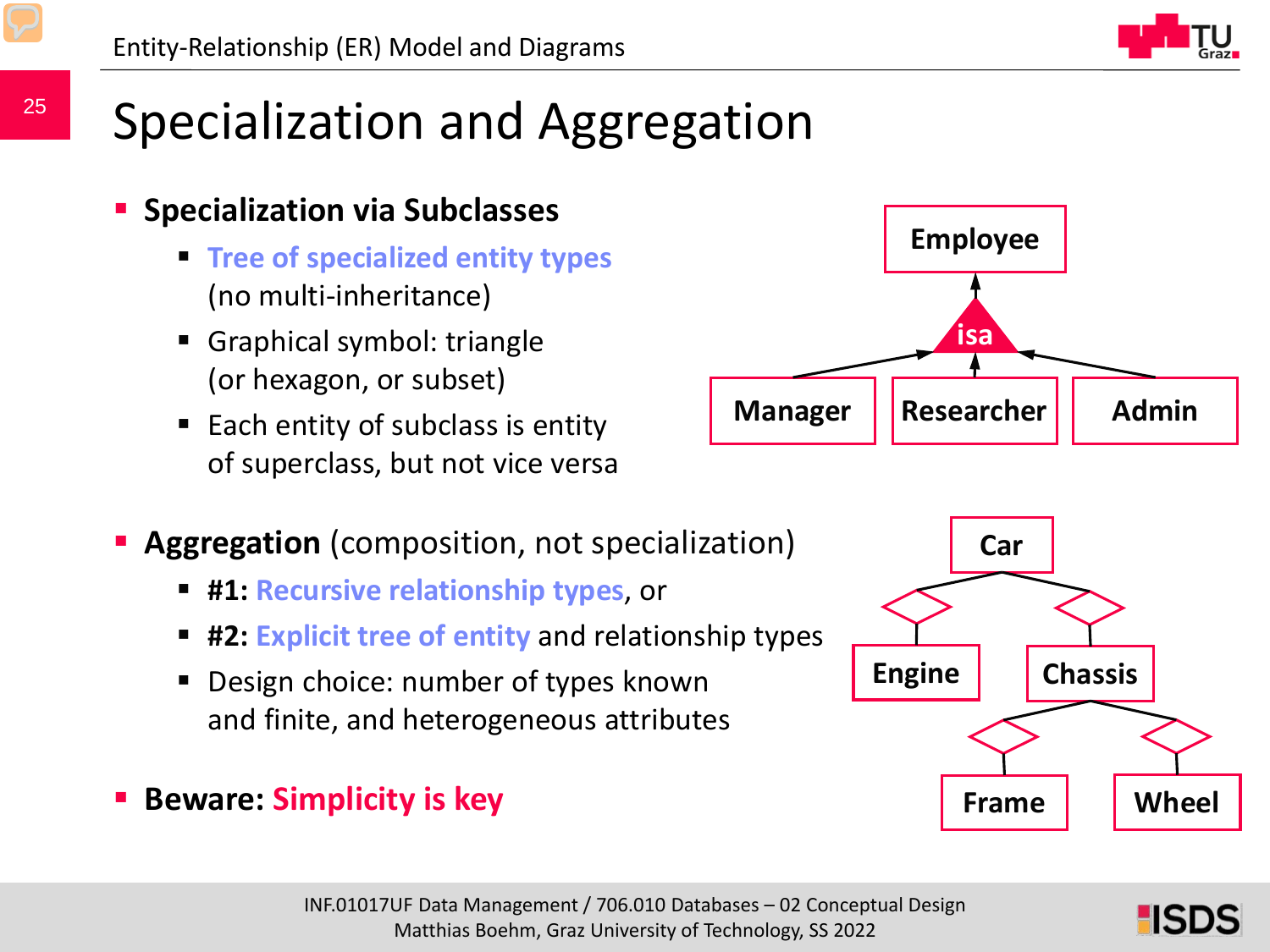## Specialization and Aggregation

#### **Specialization via Subclasses**

- **Tree of specialized entity types**  (no multi-inheritance)
- Graphical symbol: triangle (or hexagon, or subset)
- Each entity of subclass is entity of superclass, but not vice versa
- **Aggregation** (composition, not specialization)
	- **#1: Recursive relationship types**, or
	- **#2: Explicit tree of entity** and relationship types
	- Design choice: number of types known and finite, and heterogeneous attributes
- **Beware: Simplicity is key**

![](_page_24_Picture_12.jpeg)

![](_page_24_Figure_13.jpeg)

![](_page_24_Figure_14.jpeg)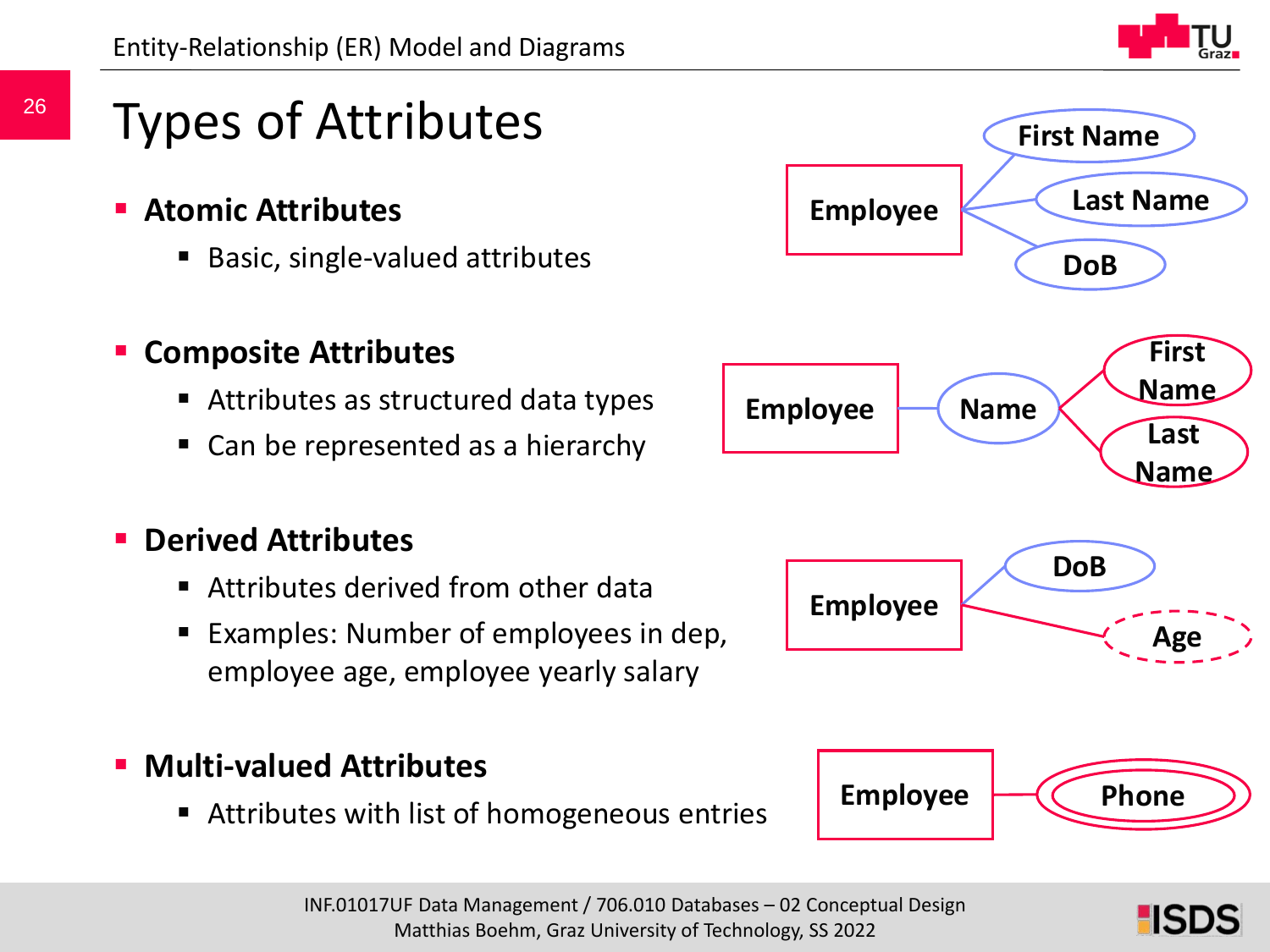### Types of Attributes

- **Atomic Attributes**
	- Basic, single-valued attributes

#### **E** Composite Attributes

- Attributes as structured data types
- Can be represented as a hierarchy

#### **Derived Attributes**

- **E** Attributes derived from other data
- Examples: Number of employees in dep, employee age, employee yearly salary

#### **Multi-valued Attributes**

■ Attributes with list of homogeneous entries

![](_page_25_Picture_13.jpeg)

![](_page_25_Picture_14.jpeg)

**HSDS**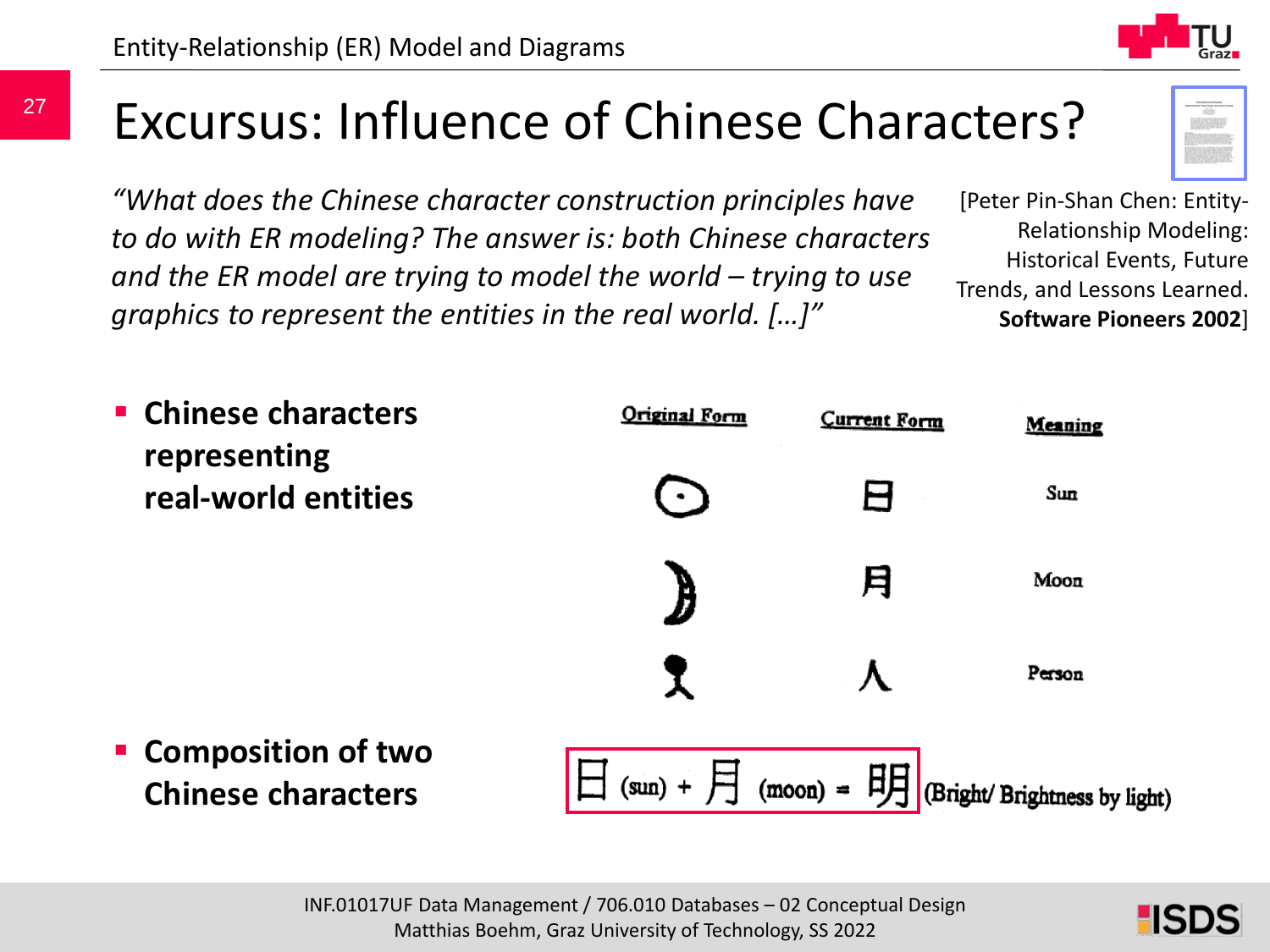### Excursus: Influence of Chinese Characters?

*"What does the Chinese character construction principles have to do with ER modeling? The answer is: both Chinese characters and the ER model are trying to model the world – trying to use graphics to represent the entities in the real world. […]"*

[Peter Pin-Shan Chen: Entity-Relationship Modeling: Historical Events, Future Trends, and Lessons Learned. **Software Pioneers 2002**]

![](_page_26_Figure_5.jpeg)

![](_page_26_Picture_6.jpeg)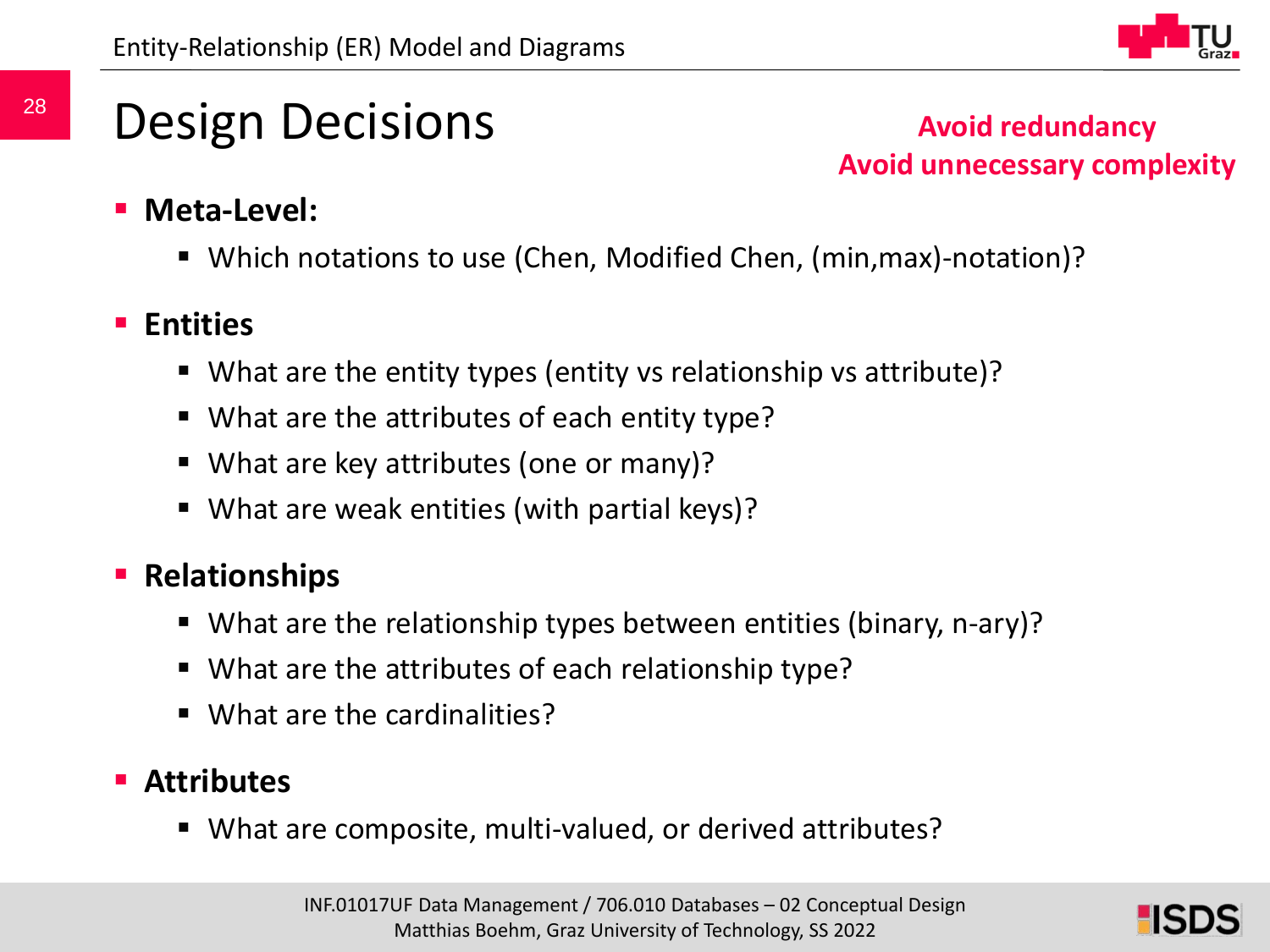![](_page_27_Picture_1.jpeg)

## Design Decisions

**Avoid redundancy Avoid unnecessary complexity**

- **Meta-Level:**
	- Which notations to use (Chen, Modified Chen, (min,max)-notation)?

#### **Entities**

- What are the entity types (entity vs relationship vs attribute)?
- What are the attributes of each entity type?
- What are key attributes (one or many)?
- What are weak entities (with partial keys)?

### **Relationships**

- What are the relationship types between entities (binary, n-ary)?
- What are the attributes of each relationship type?
- What are the cardinalities?

### **Attributes**

What are composite, multi-valued, or derived attributes?

![](_page_27_Picture_18.jpeg)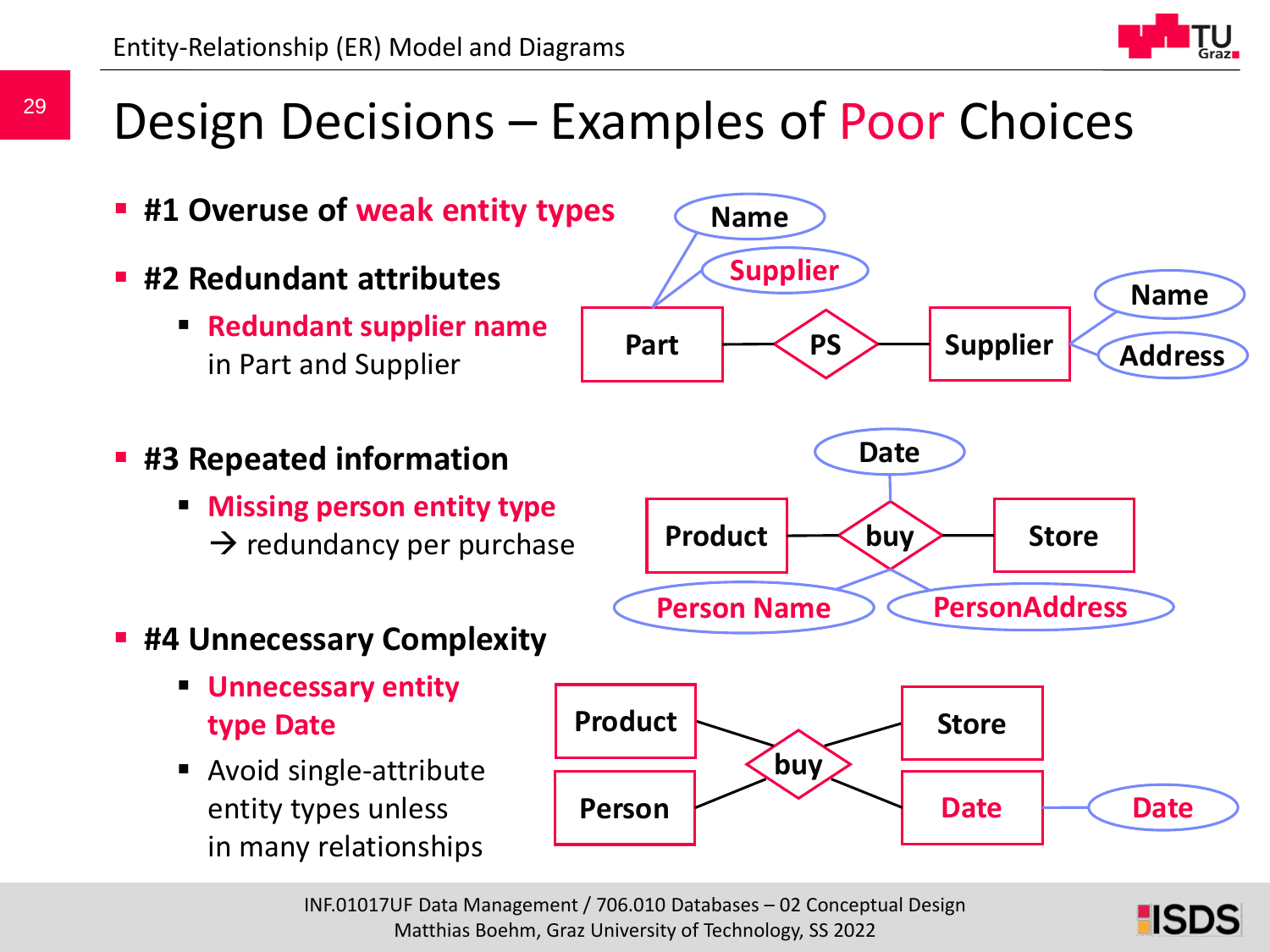### Design Decisions – Examples of Poor Choices

![](_page_28_Figure_2.jpeg)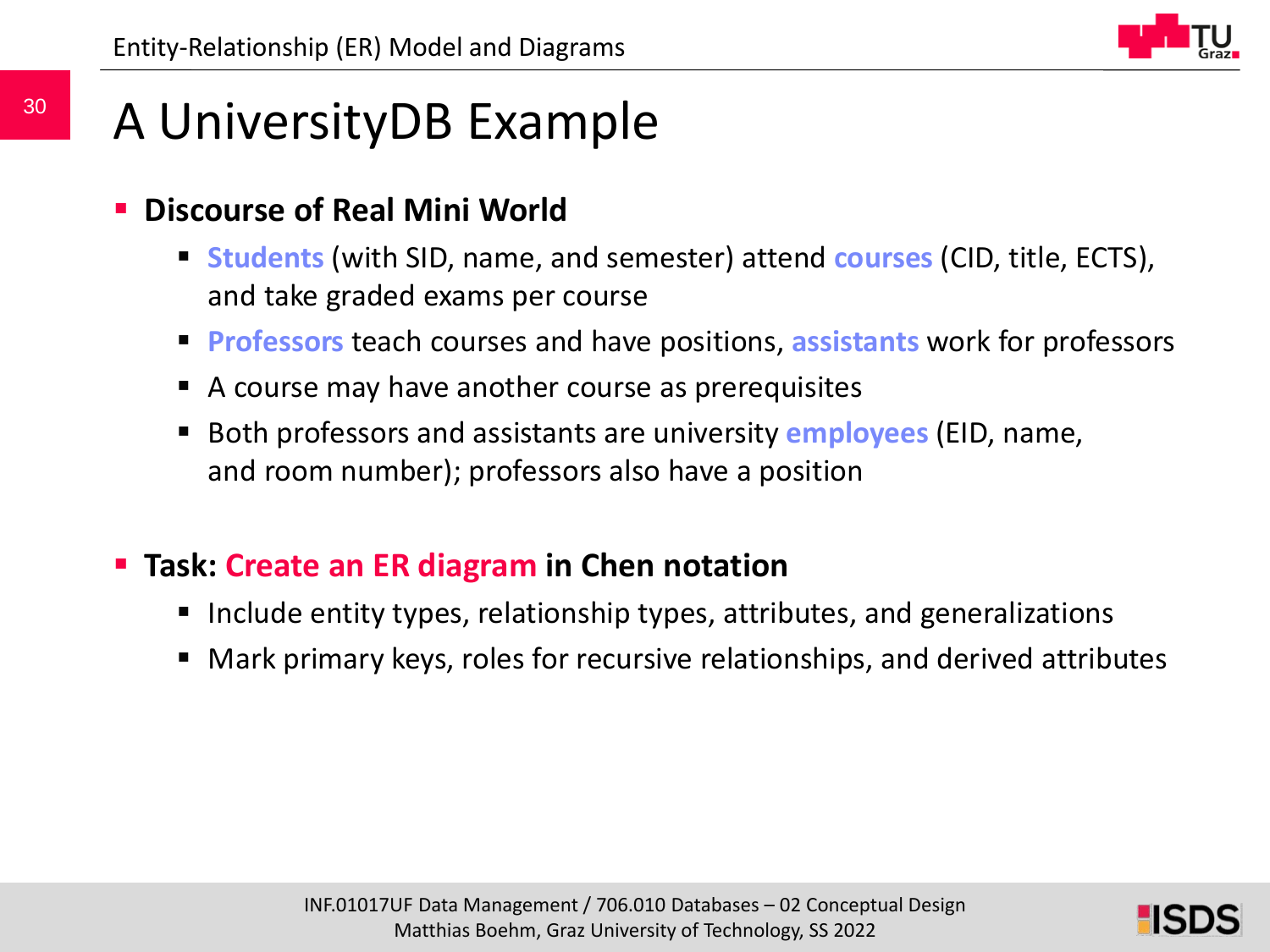## A UniversityDB Example

#### **Discourse of Real Mini World**

- **Students** (with SID, name, and semester) attend **courses** (CID, title, ECTS), and take graded exams per course
- **Professors** teach courses and have positions, **assistants** work for professors
- A course may have another course as prerequisites
- Both professors and assistants are university **employees** (EID, name, and room number); professors also have a position

### **Task: Create an ER diagram in Chen notation**

- Include entity types, relationship types, attributes, and generalizations
- Mark primary keys, roles for recursive relationships, and derived attributes

![](_page_29_Picture_12.jpeg)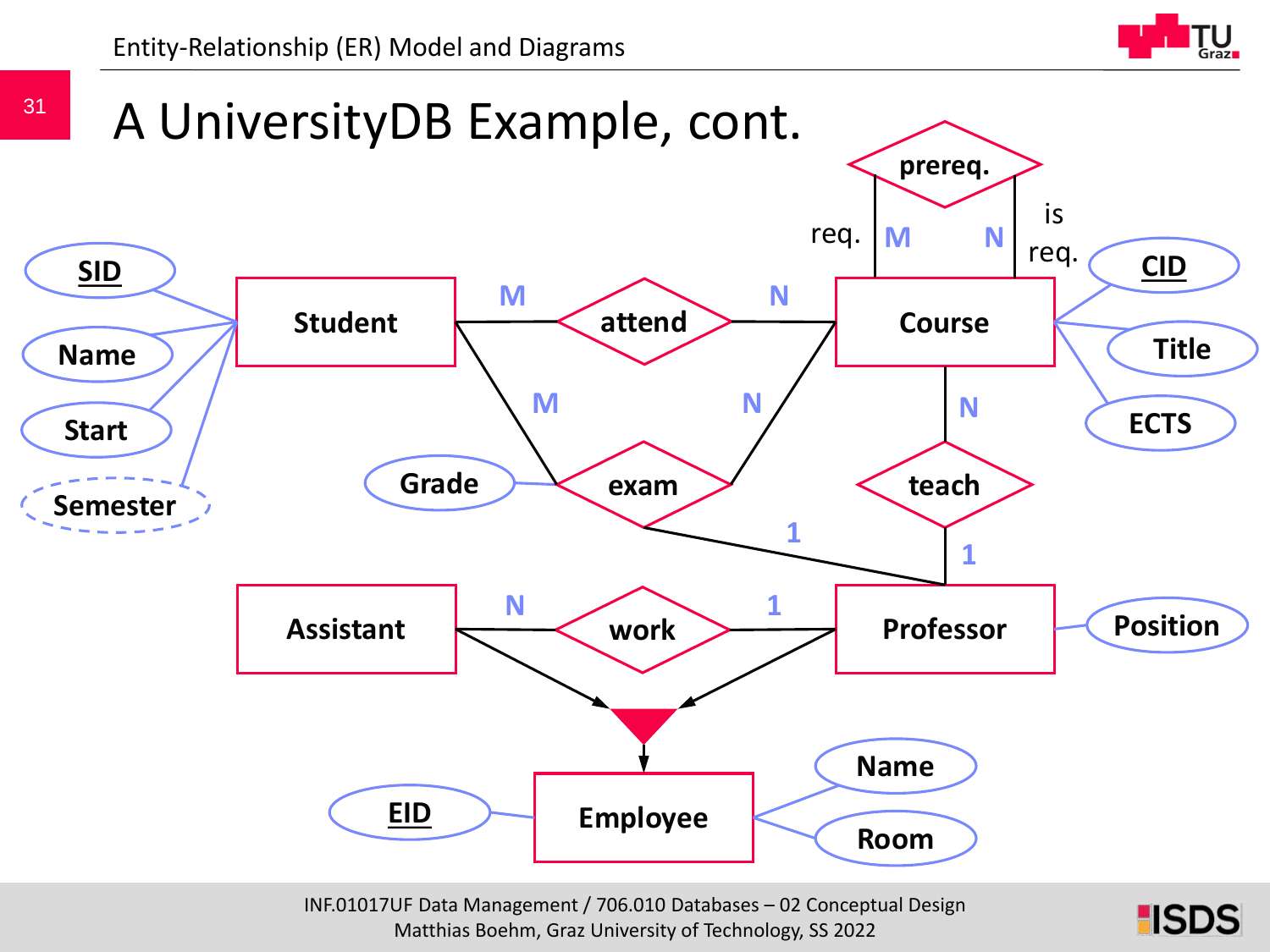Entity-Relationship (ER) Model and Diagrams

![](_page_30_Picture_1.jpeg)

**HSDS** 

![](_page_30_Figure_2.jpeg)

INF.01017UF Data Management / 706.010 Databases – 02 Conceptual Design Matthias Boehm, Graz University of Technology, SS 2022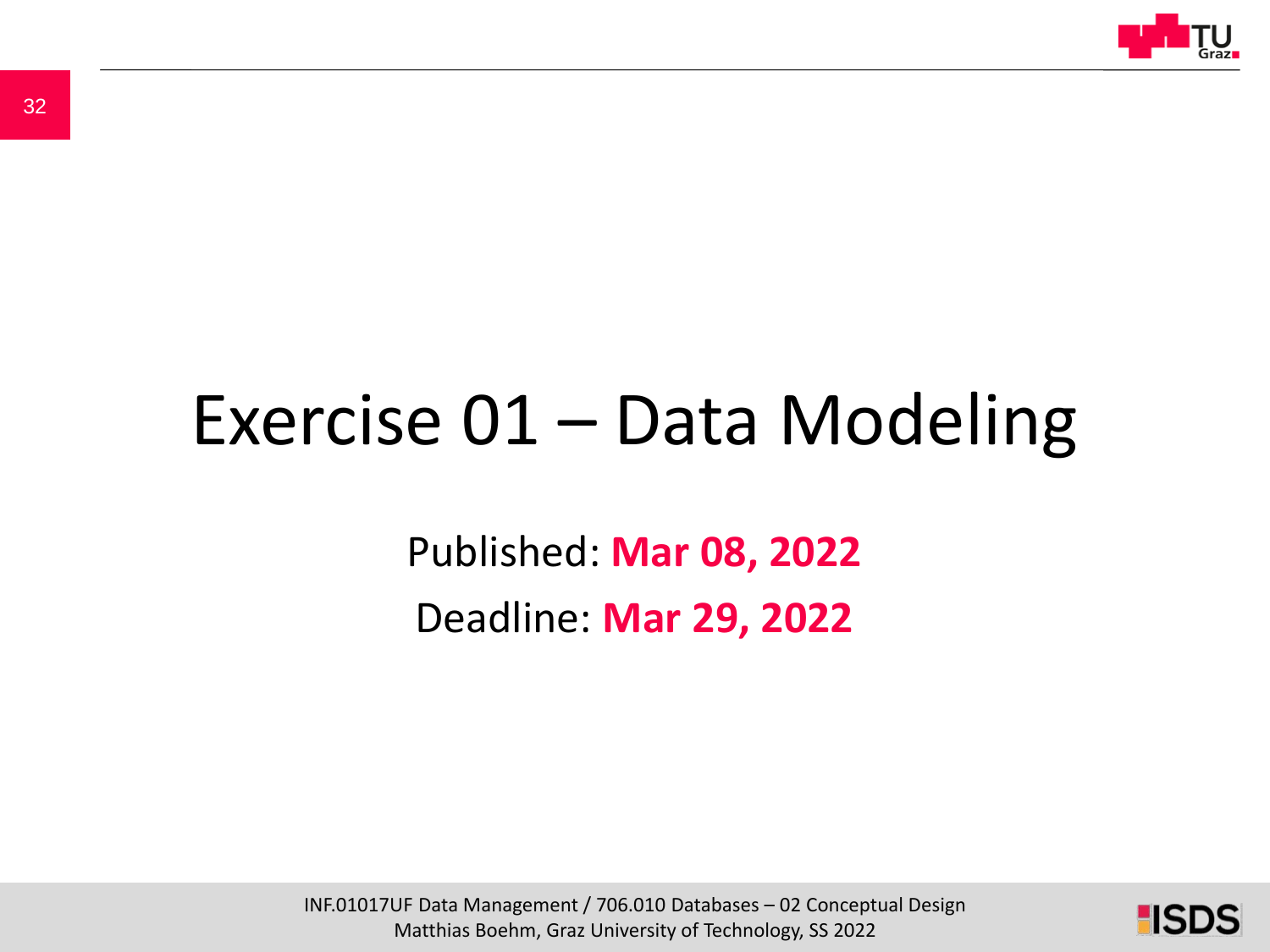![](_page_31_Picture_0.jpeg)

# Exercise 01 – Data Modeling

Published: **Mar 08, 2022** Deadline: **Mar 29, 2022**

INF.01017UF Data Management / 706.010 Databases – 02 Conceptual Design Matthias Boehm, Graz University of Technology, SS 2022

![](_page_31_Picture_5.jpeg)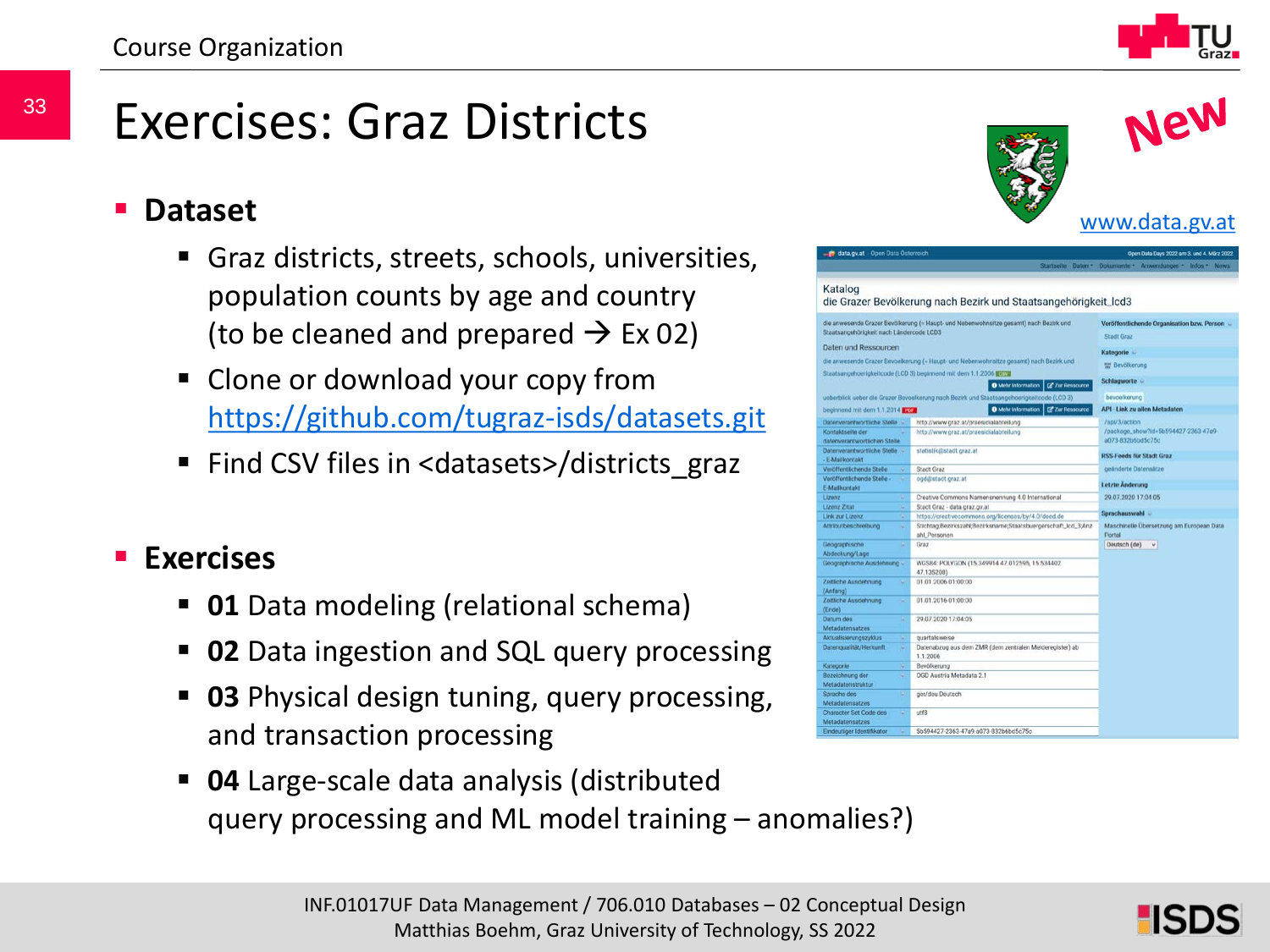### Exercises: Graz Districts

#### **Dataset**

- Graz districts, streets, schools, universities, population counts by age and country (to be cleaned and prepared  $\rightarrow$  Ex 02)
- **Clone or download your copy from** <https://github.com/tugraz-isds/datasets.git>
- Find CSV files in <datasets>/districts\_graz

#### **Exercises**

- **01** Data modeling (relational schema)
- **02** Data ingestion and SQL query processing
- **03** Physical design tuning, query processing, and transaction processing
- **04** Large-scale data analysis (distributed query processing and ML model training – anomalies?)

![](_page_32_Picture_12.jpeg)

| data.gv.at Open Data Osterreich<br>Open Data Days 2022 am 3, und 4, März 2022          |                                                                                           |                                                           |
|----------------------------------------------------------------------------------------|-------------------------------------------------------------------------------------------|-----------------------------------------------------------|
|                                                                                        |                                                                                           | Startseite Daten * Dokumente * Anwendungen * Infos * News |
| Katalog                                                                                | die Grazer Bevölkerung nach Bezirk und Staatsangehörigkeit_lcd3                           |                                                           |
| Staatsangehörigkeit nach Ländercode LCD3                                               | die anwesende Grazer Bevölkerung (- Haupt- und Nebenwohnsitze gesamt) nach Bezirk und     | Veröffentlichende Organisation bzw. Person                |
| Daten und Ressourcen                                                                   |                                                                                           | Stadt Graz                                                |
| die anwesende Grazer Bevoeikerung (- Haupt- und Nebenwohnsitze gesamt) nach Bezirk und |                                                                                           | Kategorie -                                               |
|                                                                                        |                                                                                           | the Bevölkerung                                           |
|                                                                                        | Staatsangehoerigkeitcode (LCD 3) beginnend mit dem 1.1.2006 1673                          | Schlagworte -                                             |
|                                                                                        | <b>O</b> Mehr Information<br><b>EP Zur Resocurce</b>                                      |                                                           |
|                                                                                        | ueberblick ueber die Grazer Bovoelkerung nach Bezirk und Staatsangehoerigkeitcode (LCD 3) | bevoelkerung                                              |
| beginnend mit dem 1.1.2014 From                                                        | O Mchr Information   C Zur Flesscurce                                                     | <b>API - Link zu allen Metadaten</b>                      |
| Datenverantwortliche Stella                                                            | http://www.graz.at/praesicialabteilung                                                    | /ap/3/action                                              |
| Kontaktseite der                                                                       | http://www.graz.at/praesicialabteilung                                                    | /package_show?id=5b594427-2363-47a9-                      |
| datenverantwortlichen Stelle                                                           |                                                                                           | a073-832b6bd5c75c                                         |
| Datenverantwortliche Stelle                                                            | statistik@stadt.graz.at                                                                   | <b>RSS-Feeds für Stadt Graz</b>                           |
| - E-Mailkontakt                                                                        |                                                                                           |                                                           |
| Veröffentlichende Stelle<br>$\sim$                                                     | Stach Graz                                                                                | geänderte Datensätze                                      |
| Voröffentlichende Stelle-<br>$\alpha$<br>E-Malikontakt                                 | ogd@stact.graz.at                                                                         | Letzte Anderung                                           |
| Lizonz<br>$\overline{\mathcal{M}}$                                                     | Creative Commons Namensnennung 4.0 International                                          | 29.07.2020 17:04:05                                       |
| Lizenz Zitat<br>iú.                                                                    | Stact Graz - data graz gr.at                                                              |                                                           |
| Link zur Lizenz<br>u                                                                   | https://creativecommons.org/licenses/by/4.0/deed.de                                       | Sprachauswahl -                                           |
| Artributbeschreibung<br>w.                                                             | Stichtag Bezirkszahl; Bezirksname; Staatsbuergerschaft_icd_3;Anz                          | Maschinelle Übersetzung am European Data                  |
|                                                                                        | ahl_Personen                                                                              | Fortal                                                    |
| Geographische<br>٠                                                                     | Graz                                                                                      | Dautsch (de)<br>i u                                       |
| Abdeckung/Lage                                                                         |                                                                                           |                                                           |
| Geographische Ausdehnung v                                                             | WGS84: POLYGON (15.349914.47.012595, 15.534402<br>47.135208)                              |                                                           |
| Zeitliche Ausdehnung<br>Q.<br>(Anfang)                                                 | 01.01.2006.01:00:00                                                                       |                                                           |
| Zeitliche Ausdehnung<br>w.<br>(Encode)                                                 | 01.01.2016 01:00:00                                                                       |                                                           |
| Datum des<br>٠                                                                         | 29.07.2020 17:04:05                                                                       |                                                           |
| Metadatensatzes                                                                        |                                                                                           |                                                           |
| Aktualisierungszyklus<br>w                                                             | quartalsweise                                                                             |                                                           |
| Datengualität/Heriomft<br>u.                                                           | Datenabzug aus dem ZMR (dem zentralen Melderegister) ab<br>1.1.2006                       |                                                           |
| Kategorie<br>iü.                                                                       | Bevölkerung                                                                               |                                                           |
| Bozeichnung der<br>×<br>Metadatenstruktur                                              | OGD Austria Metadata 2.1                                                                  |                                                           |
| ٠<br>Sarache des<br>Metadatensatzes                                                    | ger/deu Deutsch                                                                           |                                                           |
| Character Set Code des<br>٠<br>Metadatensatzes                                         | utf8                                                                                      |                                                           |
| Eindeutiger Identifikator<br>٠                                                         | 5b594427-2363-47a9-a073-832b6bd5c75c                                                      |                                                           |
|                                                                                        |                                                                                           |                                                           |

![](_page_32_Picture_15.jpeg)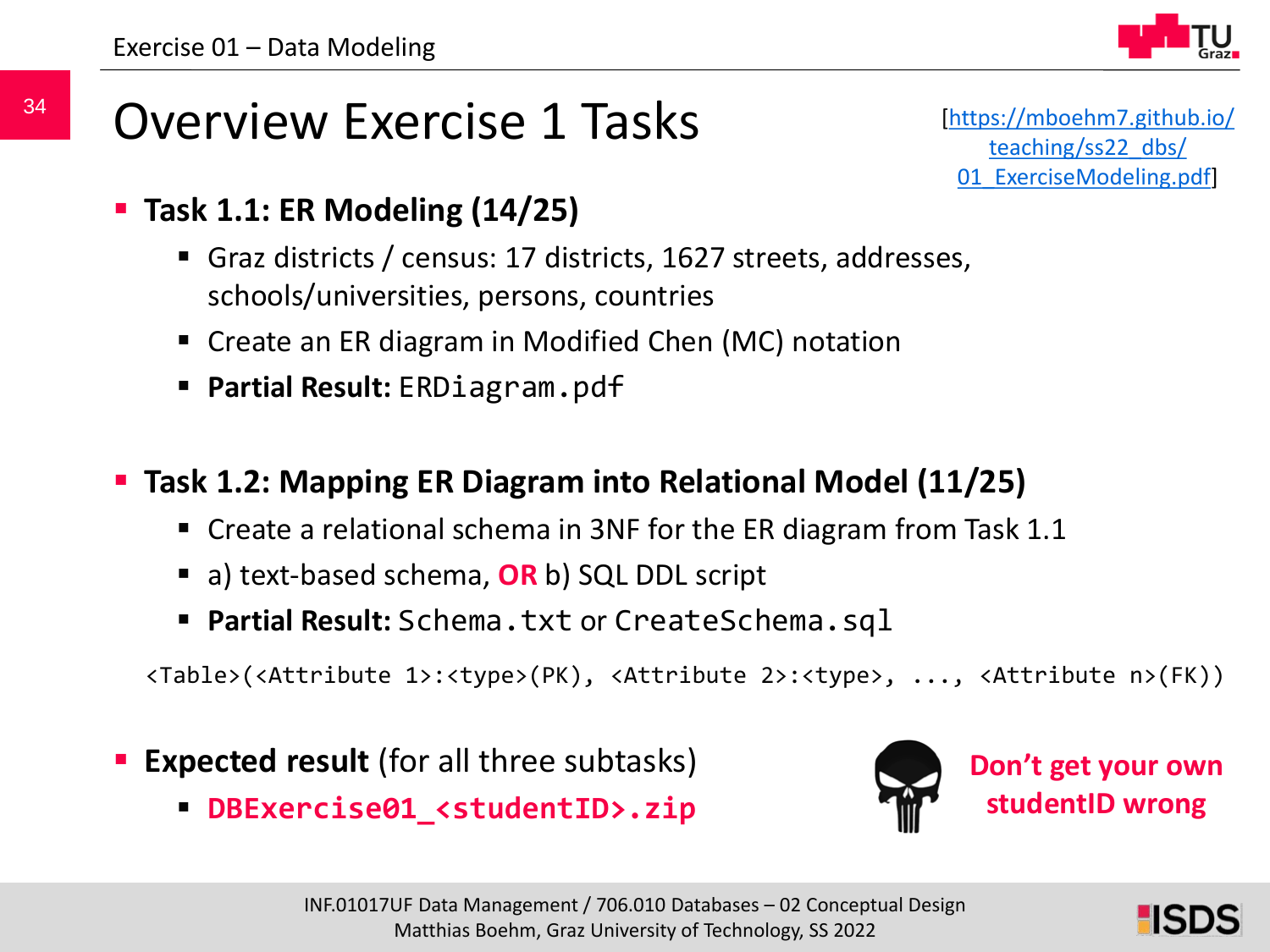![](_page_33_Picture_1.jpeg)

### Overview Exercise 1 Tasks

[[https://mboehm7.github.io/](https://mboehm7.github.io/teaching/ss22_dbs/01_ExerciseModeling.pdf) teaching/ss22\_dbs/ 01 ExerciseModeling.pdf]

- **Task 1.1: ER Modeling (14/25)**
	- Graz districts / census: 17 districts, 1627 streets, addresses, schools/universities, persons, countries
	- Create an ER diagram in Modified Chen (MC) notation
	- **Partial Result:** ERDiagram.pdf
- **Task 1.2: Mapping ER Diagram into Relational Model (11/25)**
	- Create a relational schema in 3NF for the ER diagram from Task 1.1
	- a) text-based schema, **OR** b) SQL DDL script
	- **Partial Result:** Schema.txt or CreateSchema.sql

<Table>(<Attribute 1>:<type>(PK), <Attribute 2>:<type>, ..., <Attribute n>(FK))

- **Expected result** (for all three subtasks)
	- **DBExercise01\_<studentID>.zip**

![](_page_33_Picture_15.jpeg)

![](_page_33_Picture_17.jpeg)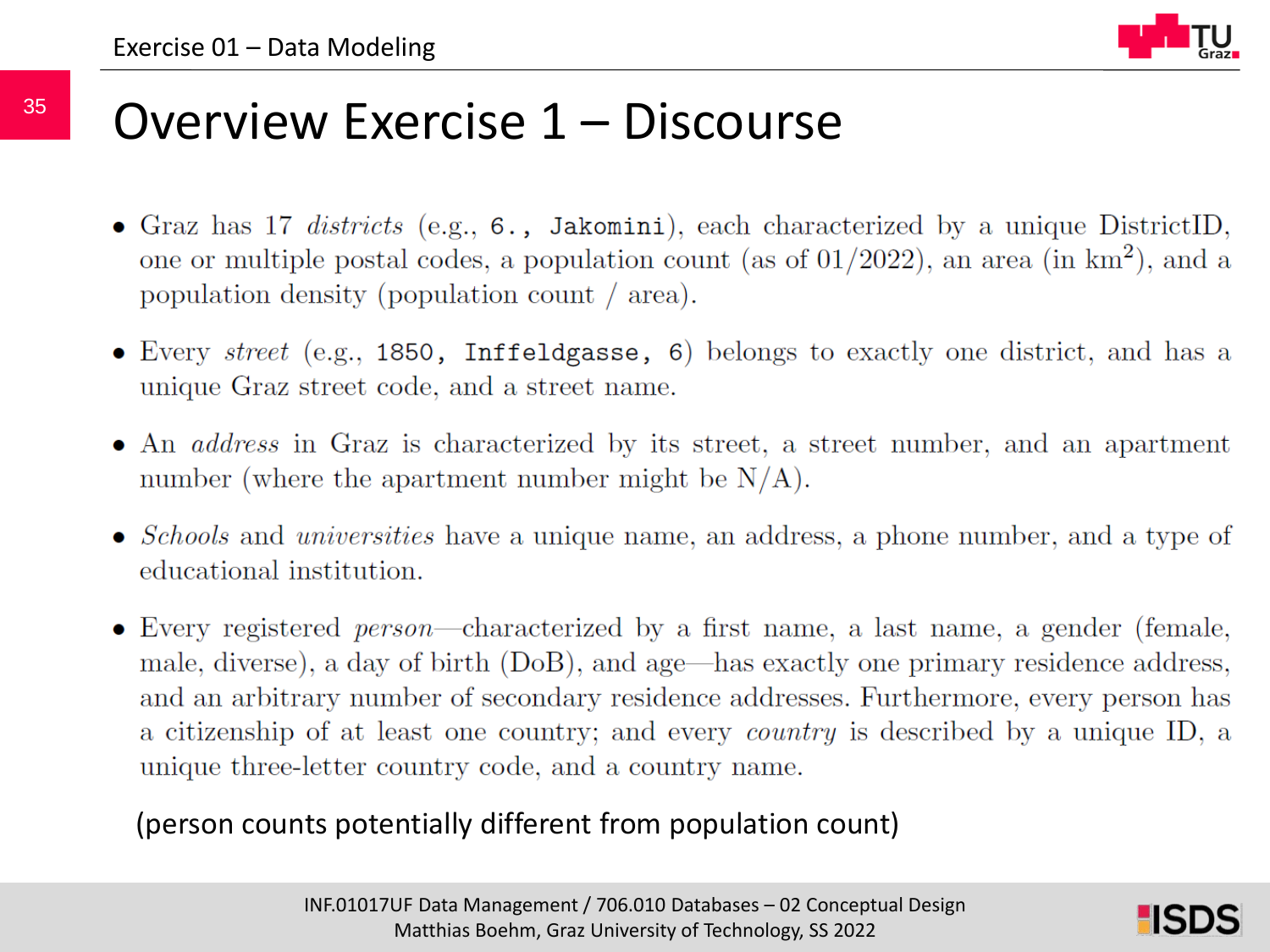![](_page_34_Figure_1.jpeg)

### Overview Exercise 1 – Discourse

- Graz has 17 districts (e.g.,  $6.$ , Jakomini), each characterized by a unique DistrictID, one or multiple postal codes, a population count (as of  $01/2022$ ), an area (in km<sup>2</sup>), and a population density (population count  $\ell$  area).
- Every  $street$  (e.g., 1850, Inffeldgasse, 6) belongs to exactly one district, and has a unique Graz street code, and a street name.
- An *address* in Graz is characterized by its street, a street number, and an apartment number (where the apartment number might be  $N/A$ ).
- *Schools* and *universities* have a unique name, an address, a phone number, and a type of educational institution.
- Every registered *person*—characterized by a first name, a last name, a gender (female, male, diverse), a day of birth (DoB), and age—has exactly one primary residence address, and an arbitrary number of secondary residence addresses. Furthermore, every person has a citizenship of at least one country; and every *country* is described by a unique ID, a unique three-letter country code, and a country name.

#### (person counts potentially different from population count)

![](_page_34_Picture_10.jpeg)